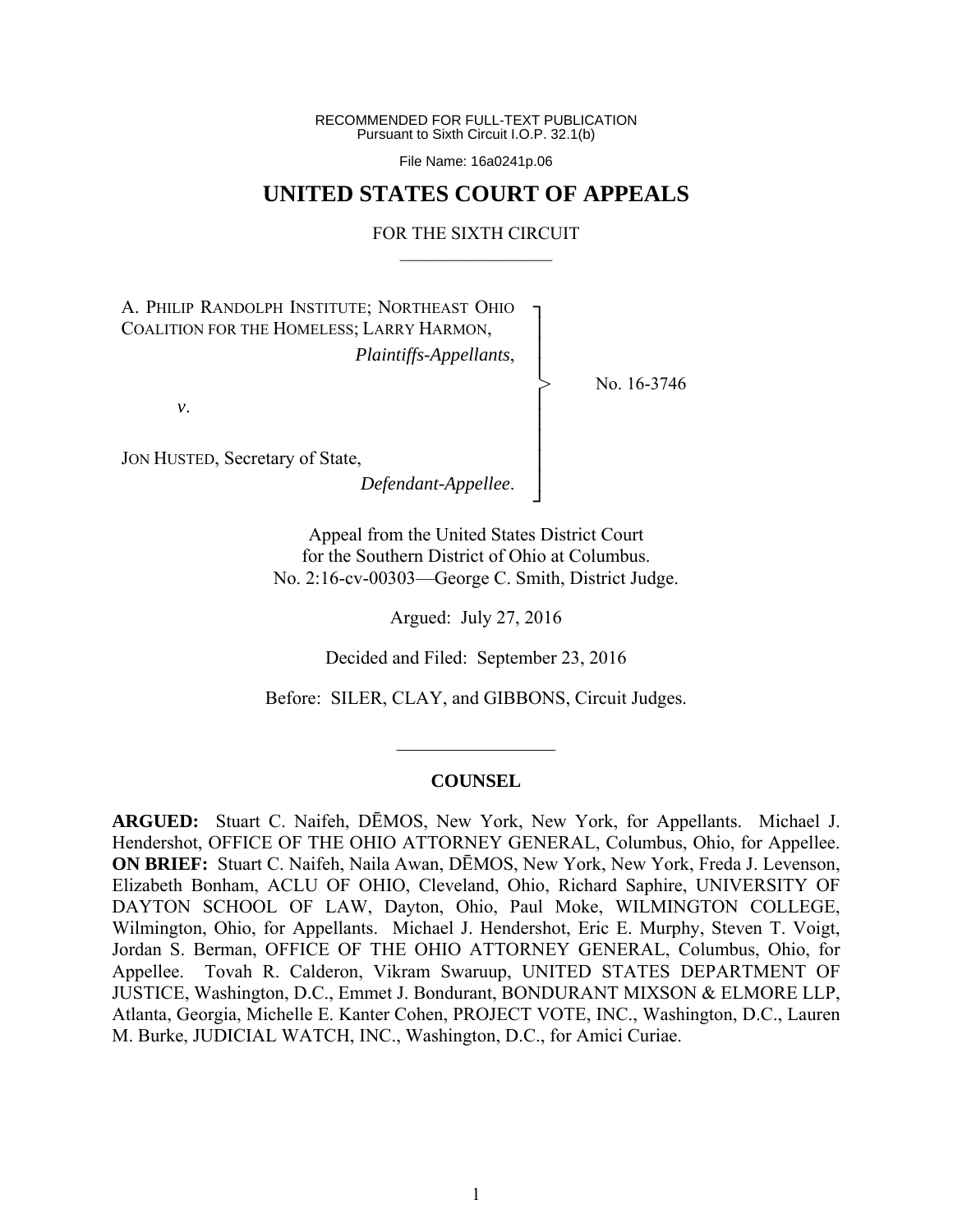RECOMMENDED FOR FULL-TEXT PUBLICATION Pursuant to Sixth Circuit I.O.P. 32.1(b)

File Name: 16a0241p.06

# **UNITED STATES COURT OF APPEALS**

#### FOR THE SIXTH CIRCUIT  $\mathcal{L}_\text{max}$

┐ │ │ │ │ │ │ │ │ ┘

>

A. PHILIP RANDOLPH INSTITUTE; NORTHEAST OHIO COALITION FOR THE HOMELESS; LARRY HARMON, *Plaintiffs-Appellants*,

No. 16-3746

*v*.

JON HUSTED, Secretary of State,

*Defendant-Appellee*.

Appeal from the United States District Court for the Southern District of Ohio at Columbus. No. 2:16-cv-00303—George C. Smith, District Judge.

Argued: July 27, 2016

Decided and Filed: September 23, 2016

Before: SILER, CLAY, and GIBBONS, Circuit Judges.

#### **COUNSEL**

 $\frac{1}{2}$ 

**ARGUED:** Stuart C. Naifeh, DĒMOS, New York, New York, for Appellants. Michael J. Hendershot, OFFICE OF THE OHIO ATTORNEY GENERAL, Columbus, Ohio, for Appellee. **ON BRIEF:** Stuart C. Naifeh, Naila Awan, DĒMOS, New York, New York, Freda J. Levenson, Elizabeth Bonham, ACLU OF OHIO, Cleveland, Ohio, Richard Saphire, UNIVERSITY OF DAYTON SCHOOL OF LAW, Dayton, Ohio, Paul Moke, WILMINGTON COLLEGE, Wilmington, Ohio, for Appellants. Michael J. Hendershot, Eric E. Murphy, Steven T. Voigt, Jordan S. Berman, OFFICE OF THE OHIO ATTORNEY GENERAL, Columbus, Ohio, for Appellee. Tovah R. Calderon, Vikram Swaruup, UNITED STATES DEPARTMENT OF JUSTICE, Washington, D.C., Emmet J. Bondurant, BONDURANT MIXSON & ELMORE LLP, Atlanta, Georgia, Michelle E. Kanter Cohen, PROJECT VOTE, INC., Washington, D.C., Lauren M. Burke, JUDICIAL WATCH, INC., Washington, D.C., for Amici Curiae.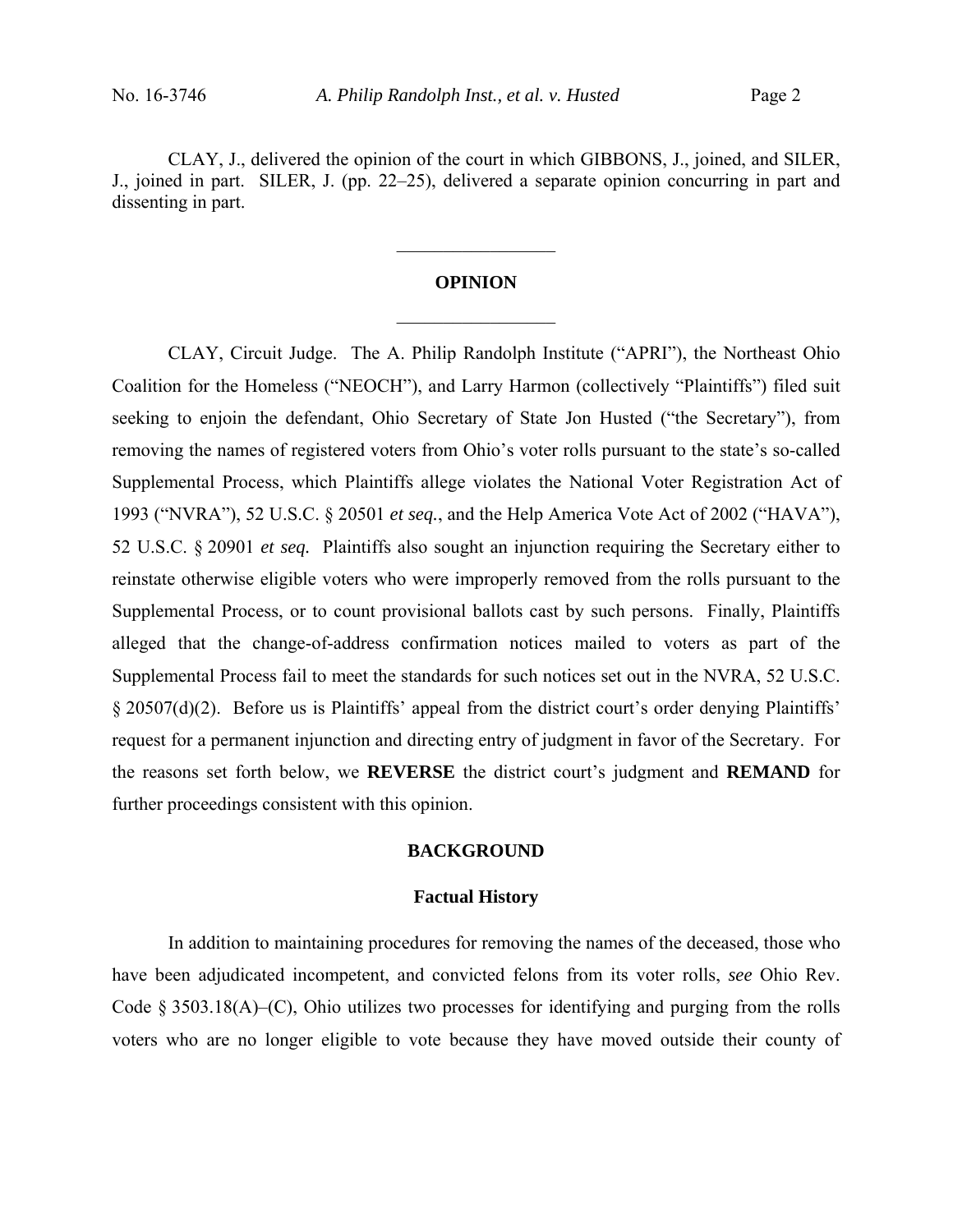CLAY, J., delivered the opinion of the court in which GIBBONS, J., joined, and SILER, J., joined in part. SILER, J. (pp. 22–25), delivered a separate opinion concurring in part and dissenting in part.

# **OPINION**   $\frac{1}{2}$

 $\frac{1}{2}$ 

CLAY, Circuit Judge. The A. Philip Randolph Institute ("APRI"), the Northeast Ohio Coalition for the Homeless ("NEOCH"), and Larry Harmon (collectively "Plaintiffs") filed suit seeking to enjoin the defendant, Ohio Secretary of State Jon Husted ("the Secretary"), from removing the names of registered voters from Ohio's voter rolls pursuant to the state's so-called Supplemental Process, which Plaintiffs allege violates the National Voter Registration Act of 1993 ("NVRA"), 52 U.S.C. § 20501 *et seq.*, and the Help America Vote Act of 2002 ("HAVA"), 52 U.S.C. § 20901 *et seq.* Plaintiffs also sought an injunction requiring the Secretary either to reinstate otherwise eligible voters who were improperly removed from the rolls pursuant to the Supplemental Process, or to count provisional ballots cast by such persons. Finally, Plaintiffs alleged that the change-of-address confirmation notices mailed to voters as part of the Supplemental Process fail to meet the standards for such notices set out in the NVRA, 52 U.S.C. § 20507(d)(2). Before us is Plaintiffs' appeal from the district court's order denying Plaintiffs' request for a permanent injunction and directing entry of judgment in favor of the Secretary. For the reasons set forth below, we **REVERSE** the district court's judgment and **REMAND** for further proceedings consistent with this opinion.

## **BACKGROUND**

#### **Factual History**

 In addition to maintaining procedures for removing the names of the deceased, those who have been adjudicated incompetent, and convicted felons from its voter rolls, *see* Ohio Rev. Code § 3503.18(A)–(C), Ohio utilizes two processes for identifying and purging from the rolls voters who are no longer eligible to vote because they have moved outside their county of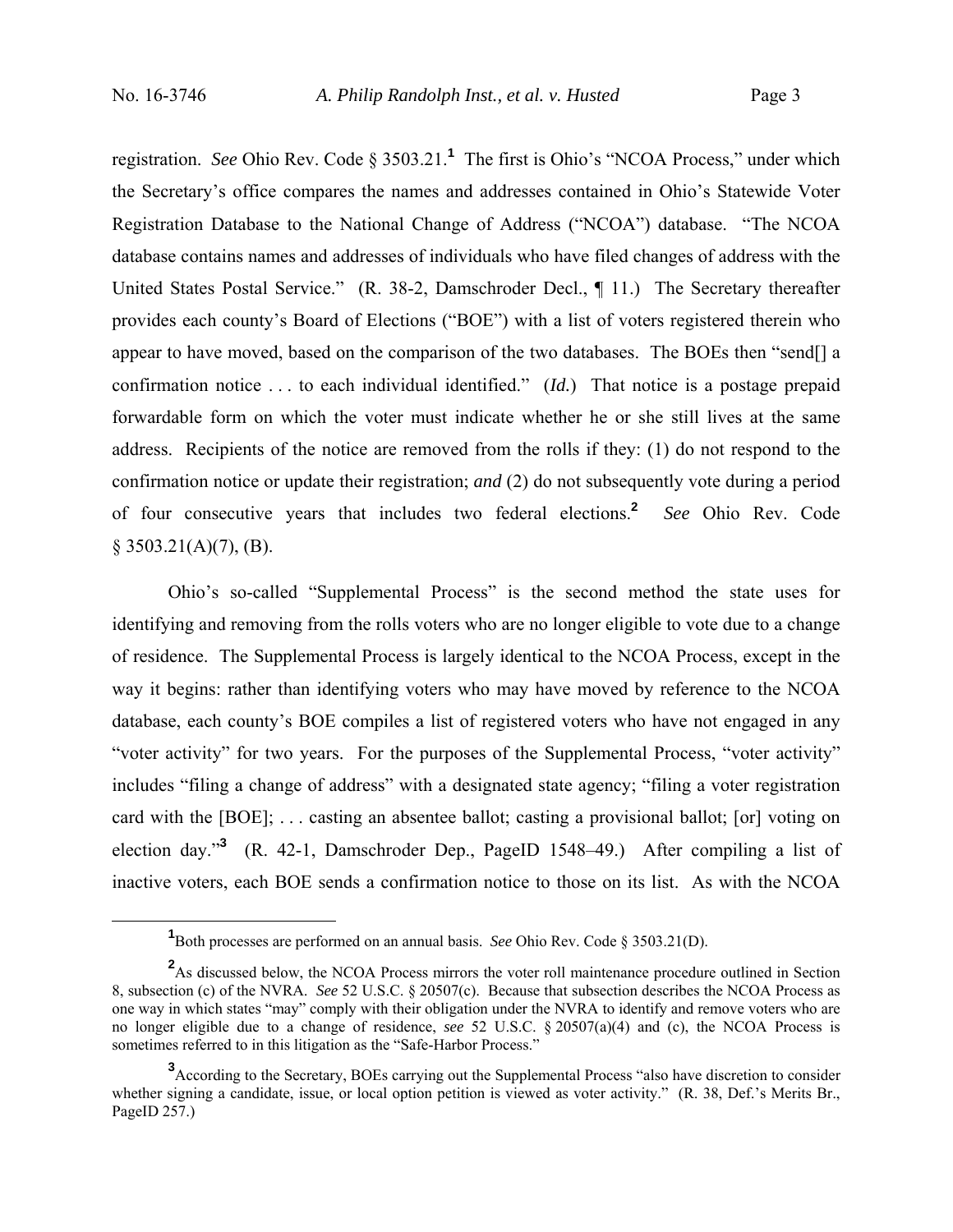registration. *See* Ohio Rev. Code § 3503.21.**<sup>1</sup>** The first is Ohio's "NCOA Process," under which the Secretary's office compares the names and addresses contained in Ohio's Statewide Voter Registration Database to the National Change of Address ("NCOA") database. "The NCOA database contains names and addresses of individuals who have filed changes of address with the United States Postal Service." (R. 38-2, Damschroder Decl., ¶ 11.) The Secretary thereafter provides each county's Board of Elections ("BOE") with a list of voters registered therein who appear to have moved, based on the comparison of the two databases. The BOEs then "send[] a confirmation notice . . . to each individual identified." (*Id.*) That notice is a postage prepaid forwardable form on which the voter must indicate whether he or she still lives at the same address. Recipients of the notice are removed from the rolls if they: (1) do not respond to the confirmation notice or update their registration; *and* (2) do not subsequently vote during a period of four consecutive years that includes two federal elections.**<sup>2</sup>** *See* Ohio Rev. Code  $§ 3503.21(A)(7), (B).$ 

 Ohio's so-called "Supplemental Process" is the second method the state uses for identifying and removing from the rolls voters who are no longer eligible to vote due to a change of residence. The Supplemental Process is largely identical to the NCOA Process, except in the way it begins: rather than identifying voters who may have moved by reference to the NCOA database, each county's BOE compiles a list of registered voters who have not engaged in any "voter activity" for two years. For the purposes of the Supplemental Process, "voter activity" includes "filing a change of address" with a designated state agency; "filing a voter registration card with the [BOE]; . . . casting an absentee ballot; casting a provisional ballot; [or] voting on election day."**<sup>3</sup>** (R. 42-1, Damschroder Dep., PageID 1548–49.) After compiling a list of inactive voters, each BOE sends a confirmation notice to those on its list. As with the NCOA

<sup>&</sup>lt;u>1</u> Both processes are performed on an annual basis. *See* Ohio Rev. Code § 3503.21(D).

<sup>&</sup>lt;sup>2</sup>As discussed below, the NCOA Process mirrors the voter roll maintenance procedure outlined in Section 8, subsection (c) of the NVRA. *See* 52 U.S.C. § 20507(c). Because that subsection describes the NCOA Process as one way in which states "may" comply with their obligation under the NVRA to identify and remove voters who are no longer eligible due to a change of residence, *see* 52 U.S.C. § 20507(a)(4) and (c), the NCOA Process is sometimes referred to in this litigation as the "Safe-Harbor Process."

<sup>&</sup>lt;sup>3</sup> According to the Secretary, BOEs carrying out the Supplemental Process "also have discretion to consider whether signing a candidate, issue, or local option petition is viewed as voter activity." (R. 38, Def.'s Merits Br., PageID 257.)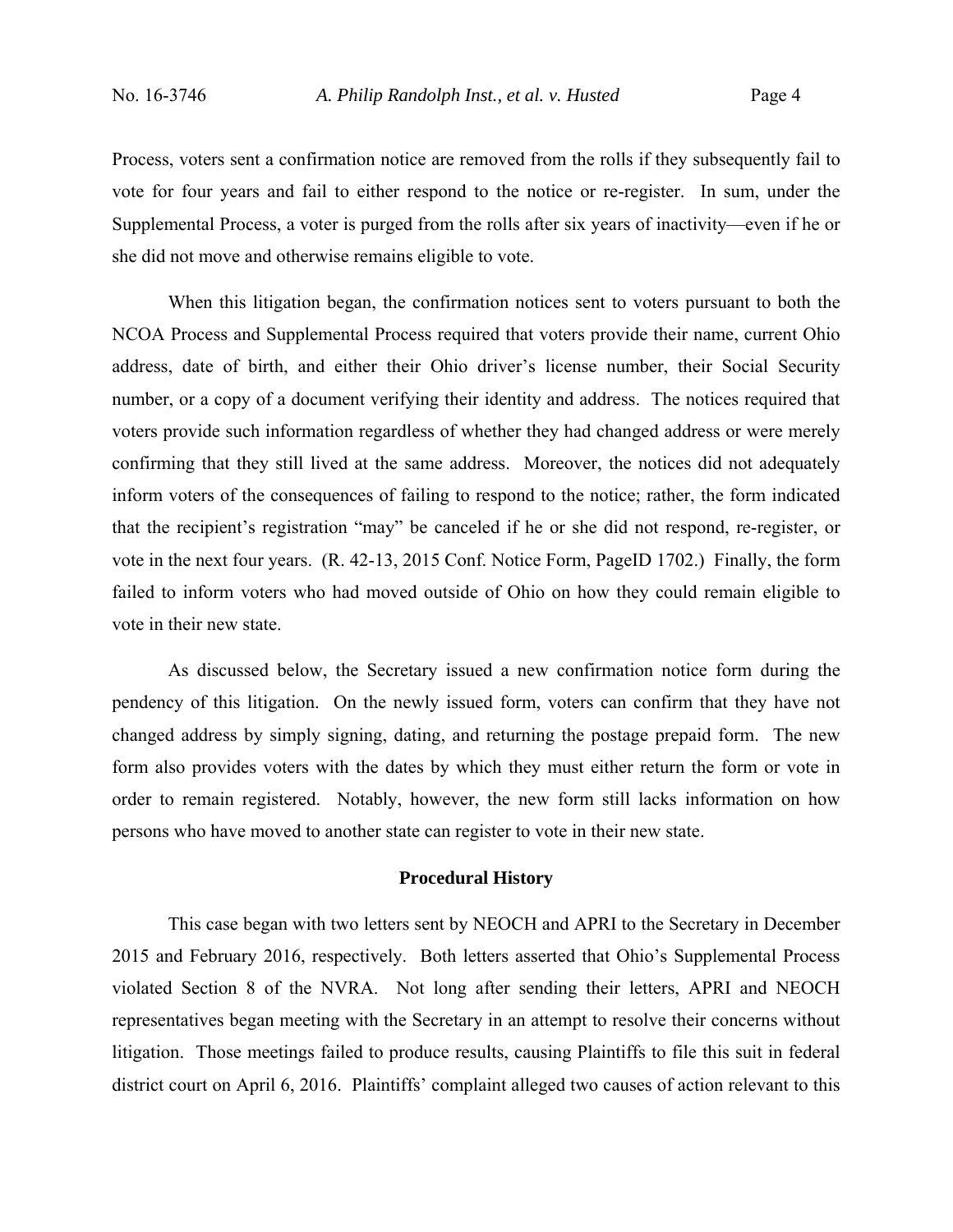Process, voters sent a confirmation notice are removed from the rolls if they subsequently fail to vote for four years and fail to either respond to the notice or re-register. In sum, under the Supplemental Process, a voter is purged from the rolls after six years of inactivity—even if he or she did not move and otherwise remains eligible to vote.

 When this litigation began, the confirmation notices sent to voters pursuant to both the NCOA Process and Supplemental Process required that voters provide their name, current Ohio address, date of birth, and either their Ohio driver's license number, their Social Security number, or a copy of a document verifying their identity and address. The notices required that voters provide such information regardless of whether they had changed address or were merely confirming that they still lived at the same address. Moreover, the notices did not adequately inform voters of the consequences of failing to respond to the notice; rather, the form indicated that the recipient's registration "may" be canceled if he or she did not respond, re-register, or vote in the next four years. (R. 42-13, 2015 Conf. Notice Form, PageID 1702.) Finally, the form failed to inform voters who had moved outside of Ohio on how they could remain eligible to vote in their new state.

 As discussed below, the Secretary issued a new confirmation notice form during the pendency of this litigation. On the newly issued form, voters can confirm that they have not changed address by simply signing, dating, and returning the postage prepaid form. The new form also provides voters with the dates by which they must either return the form or vote in order to remain registered. Notably, however, the new form still lacks information on how persons who have moved to another state can register to vote in their new state.

### **Procedural History**

 This case began with two letters sent by NEOCH and APRI to the Secretary in December 2015 and February 2016, respectively. Both letters asserted that Ohio's Supplemental Process violated Section 8 of the NVRA. Not long after sending their letters, APRI and NEOCH representatives began meeting with the Secretary in an attempt to resolve their concerns without litigation. Those meetings failed to produce results, causing Plaintiffs to file this suit in federal district court on April 6, 2016. Plaintiffs' complaint alleged two causes of action relevant to this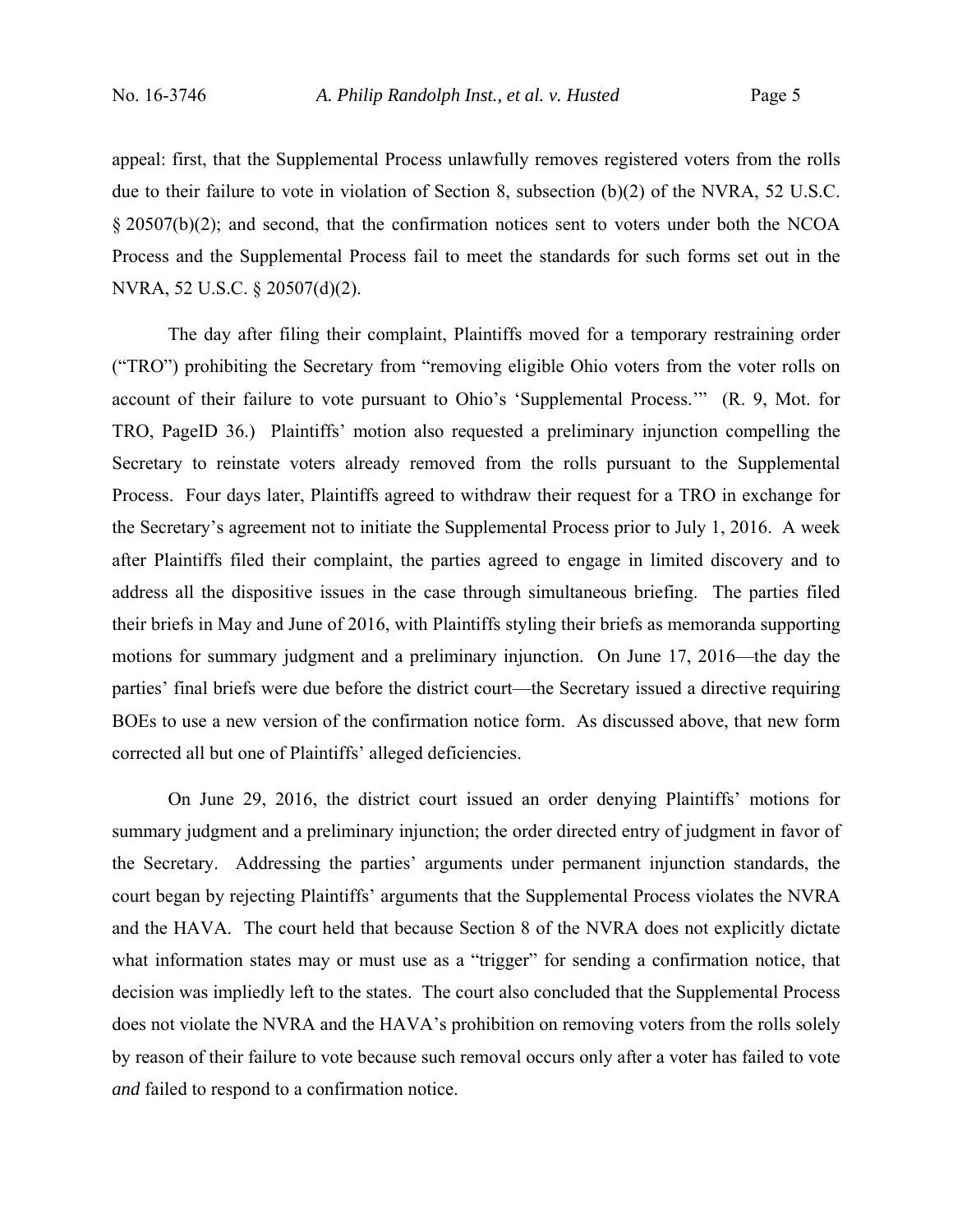appeal: first, that the Supplemental Process unlawfully removes registered voters from the rolls due to their failure to vote in violation of Section 8, subsection (b)(2) of the NVRA, 52 U.S.C. § 20507(b)(2); and second, that the confirmation notices sent to voters under both the NCOA Process and the Supplemental Process fail to meet the standards for such forms set out in the NVRA, 52 U.S.C. § 20507(d)(2).

 The day after filing their complaint, Plaintiffs moved for a temporary restraining order ("TRO") prohibiting the Secretary from "removing eligible Ohio voters from the voter rolls on account of their failure to vote pursuant to Ohio's 'Supplemental Process.'" (R. 9, Mot. for TRO, PageID 36.) Plaintiffs' motion also requested a preliminary injunction compelling the Secretary to reinstate voters already removed from the rolls pursuant to the Supplemental Process. Four days later, Plaintiffs agreed to withdraw their request for a TRO in exchange for the Secretary's agreement not to initiate the Supplemental Process prior to July 1, 2016. A week after Plaintiffs filed their complaint, the parties agreed to engage in limited discovery and to address all the dispositive issues in the case through simultaneous briefing. The parties filed their briefs in May and June of 2016, with Plaintiffs styling their briefs as memoranda supporting motions for summary judgment and a preliminary injunction. On June 17, 2016—the day the parties' final briefs were due before the district court—the Secretary issued a directive requiring BOEs to use a new version of the confirmation notice form. As discussed above, that new form corrected all but one of Plaintiffs' alleged deficiencies.

 On June 29, 2016, the district court issued an order denying Plaintiffs' motions for summary judgment and a preliminary injunction; the order directed entry of judgment in favor of the Secretary. Addressing the parties' arguments under permanent injunction standards, the court began by rejecting Plaintiffs' arguments that the Supplemental Process violates the NVRA and the HAVA. The court held that because Section 8 of the NVRA does not explicitly dictate what information states may or must use as a "trigger" for sending a confirmation notice, that decision was impliedly left to the states. The court also concluded that the Supplemental Process does not violate the NVRA and the HAVA's prohibition on removing voters from the rolls solely by reason of their failure to vote because such removal occurs only after a voter has failed to vote *and* failed to respond to a confirmation notice.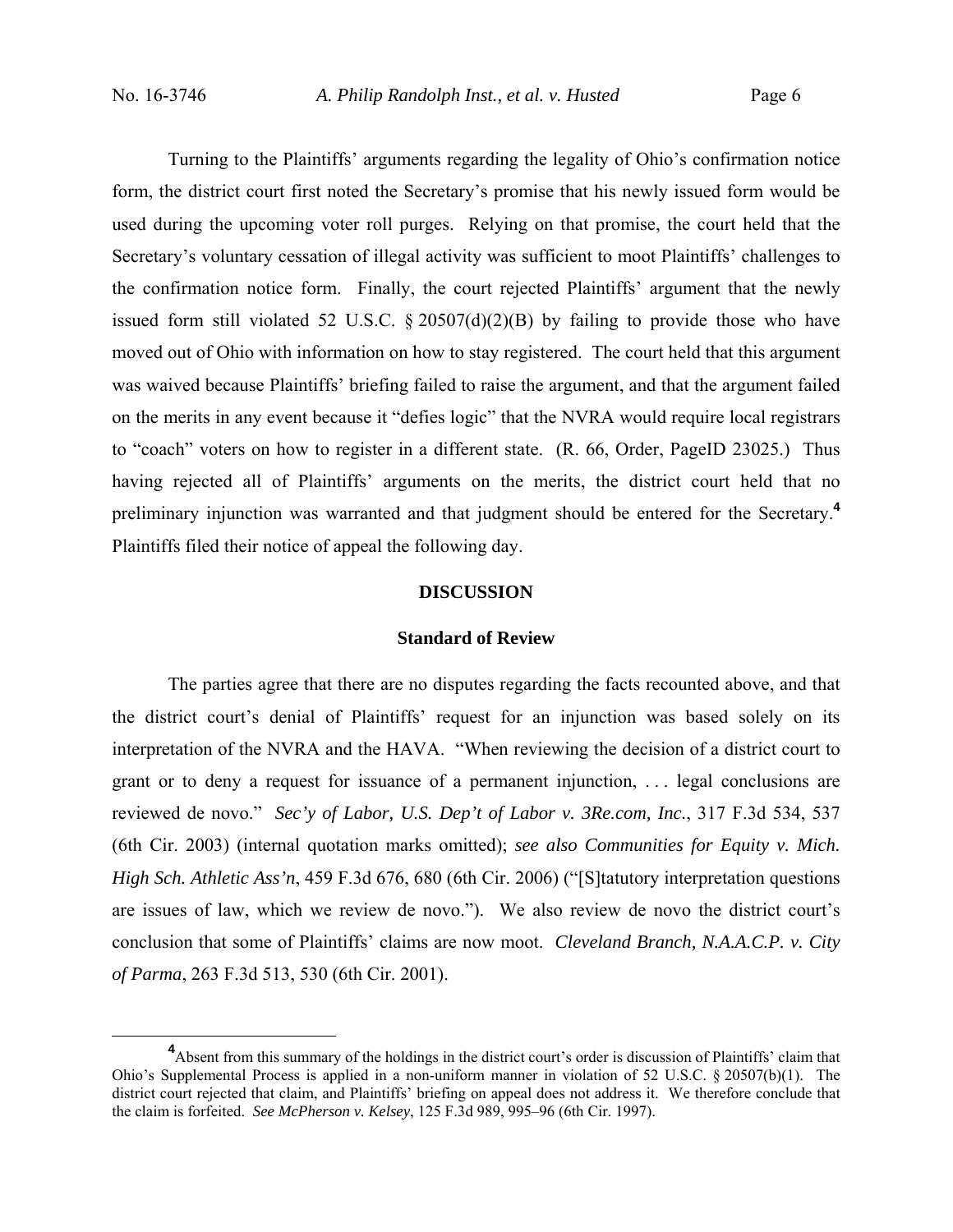Turning to the Plaintiffs' arguments regarding the legality of Ohio's confirmation notice form, the district court first noted the Secretary's promise that his newly issued form would be used during the upcoming voter roll purges. Relying on that promise, the court held that the Secretary's voluntary cessation of illegal activity was sufficient to moot Plaintiffs' challenges to the confirmation notice form. Finally, the court rejected Plaintiffs' argument that the newly issued form still violated 52 U.S.C.  $\S 20507(d)(2)(B)$  by failing to provide those who have moved out of Ohio with information on how to stay registered. The court held that this argument was waived because Plaintiffs' briefing failed to raise the argument, and that the argument failed on the merits in any event because it "defies logic" that the NVRA would require local registrars to "coach" voters on how to register in a different state. (R. 66, Order, PageID 23025.) Thus having rejected all of Plaintiffs' arguments on the merits, the district court held that no preliminary injunction was warranted and that judgment should be entered for the Secretary.**<sup>4</sup>** Plaintiffs filed their notice of appeal the following day.

#### **DISCUSSION**

#### **Standard of Review**

 The parties agree that there are no disputes regarding the facts recounted above, and that the district court's denial of Plaintiffs' request for an injunction was based solely on its interpretation of the NVRA and the HAVA. "When reviewing the decision of a district court to grant or to deny a request for issuance of a permanent injunction, . . . legal conclusions are reviewed de novo." *Sec'y of Labor, U.S. Dep't of Labor v. 3Re.com, Inc.*, 317 F.3d 534, 537 (6th Cir. 2003) (internal quotation marks omitted); *see also Communities for Equity v. Mich. High Sch. Athletic Ass'n*, 459 F.3d 676, 680 (6th Cir. 2006) ("[S]tatutory interpretation questions are issues of law, which we review de novo."). We also review de novo the district court's conclusion that some of Plaintiffs' claims are now moot. *Cleveland Branch, N.A.A.C.P. v. City of Parma*, 263 F.3d 513, 530 (6th Cir. 2001).

**<sup>4</sup>** Absent from this summary of the holdings in the district court's order is discussion of Plaintiffs' claim that Ohio's Supplemental Process is applied in a non-uniform manner in violation of 52 U.S.C. § 20507(b)(1). The district court rejected that claim, and Plaintiffs' briefing on appeal does not address it. We therefore conclude that the claim is forfeited. *See McPherson v. Kelsey*, 125 F.3d 989, 995–96 (6th Cir. 1997).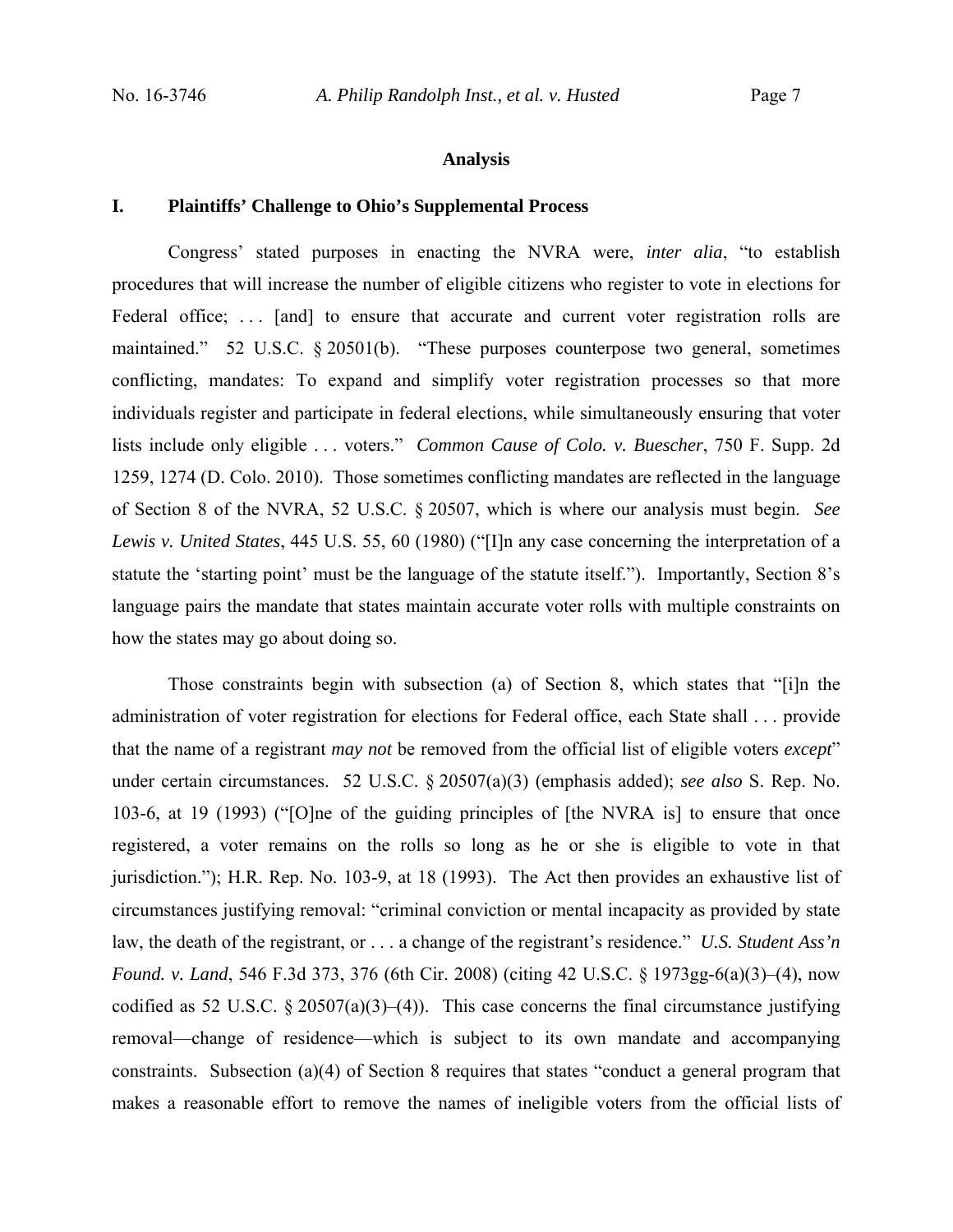#### **Analysis**

### **I. Plaintiffs' Challenge to Ohio's Supplemental Process**

Congress' stated purposes in enacting the NVRA were, *inter alia*, "to establish procedures that will increase the number of eligible citizens who register to vote in elections for Federal office; ... [and] to ensure that accurate and current voter registration rolls are maintained." 52 U.S.C. § 20501(b). "These purposes counterpose two general, sometimes conflicting, mandates: To expand and simplify voter registration processes so that more individuals register and participate in federal elections, while simultaneously ensuring that voter lists include only eligible . . . voters." *Common Cause of Colo. v. Buescher*, 750 F. Supp. 2d 1259, 1274 (D. Colo. 2010). Those sometimes conflicting mandates are reflected in the language of Section 8 of the NVRA, 52 U.S.C. § 20507, which is where our analysis must begin. *See Lewis v. United States*, 445 U.S. 55, 60 (1980) ("[I]n any case concerning the interpretation of a statute the 'starting point' must be the language of the statute itself."). Importantly, Section 8's language pairs the mandate that states maintain accurate voter rolls with multiple constraints on how the states may go about doing so.

Those constraints begin with subsection (a) of Section 8, which states that "[i]n the administration of voter registration for elections for Federal office, each State shall . . . provide that the name of a registrant *may not* be removed from the official list of eligible voters *except*" under certain circumstances. 52 U.S.C. § 20507(a)(3) (emphasis added); *see also* S. Rep. No. 103-6, at 19 (1993) ("[O]ne of the guiding principles of [the NVRA is] to ensure that once registered, a voter remains on the rolls so long as he or she is eligible to vote in that jurisdiction."); H.R. Rep. No. 103-9, at 18 (1993). The Act then provides an exhaustive list of circumstances justifying removal: "criminal conviction or mental incapacity as provided by state law, the death of the registrant, or . . . a change of the registrant's residence." *U.S. Student Ass'n Found. v. Land*, 546 F.3d 373, 376 (6th Cir. 2008) (citing 42 U.S.C. § 1973gg-6(a)(3)–(4), now codified as 52 U.S.C. § 20507(a)(3)–(4)). This case concerns the final circumstance justifying removal—change of residence—which is subject to its own mandate and accompanying constraints. Subsection (a)(4) of Section 8 requires that states "conduct a general program that makes a reasonable effort to remove the names of ineligible voters from the official lists of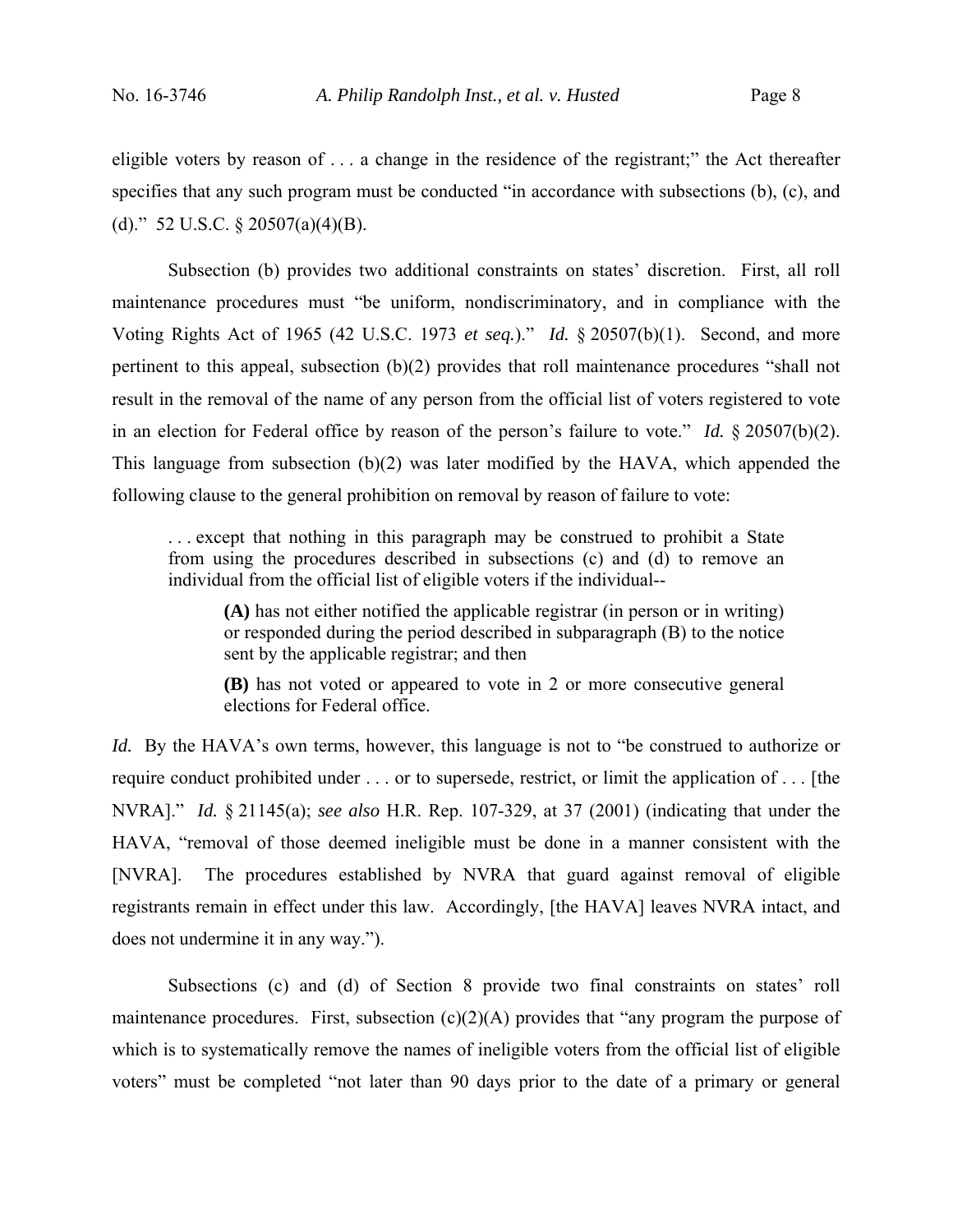eligible voters by reason of . . . a change in the residence of the registrant;" the Act thereafter specifies that any such program must be conducted "in accordance with subsections (b), (c), and (d)." 52 U.S.C.  $\S$  20507(a)(4)(B).

 Subsection (b) provides two additional constraints on states' discretion. First, all roll maintenance procedures must "be uniform, nondiscriminatory, and in compliance with the Voting Rights Act of 1965 (42 U.S.C. 1973 *et seq.*)." *Id.* § 20507(b)(1). Second, and more pertinent to this appeal, subsection (b)(2) provides that roll maintenance procedures "shall not result in the removal of the name of any person from the official list of voters registered to vote in an election for Federal office by reason of the person's failure to vote." *Id.* § 20507(b)(2). This language from subsection (b)(2) was later modified by the HAVA, which appended the following clause to the general prohibition on removal by reason of failure to vote:

. . . except that nothing in this paragraph may be construed to prohibit a State from using the procedures described in subsections (c) and (d) to remove an individual from the official list of eligible voters if the individual--

**(A)** has not either notified the applicable registrar (in person or in writing) or responded during the period described in subparagraph (B) to the notice sent by the applicable registrar; and then

**(B)** has not voted or appeared to vote in 2 or more consecutive general elections for Federal office.

*Id.* By the HAVA's own terms, however, this language is not to "be construed to authorize or require conduct prohibited under . . . or to supersede, restrict, or limit the application of . . . [the NVRA]." *Id.* § 21145(a); *see also* H.R. Rep. 107-329, at 37 (2001) (indicating that under the HAVA, "removal of those deemed ineligible must be done in a manner consistent with the [NVRA]. The procedures established by NVRA that guard against removal of eligible registrants remain in effect under this law. Accordingly, [the HAVA] leaves NVRA intact, and does not undermine it in any way.").

 Subsections (c) and (d) of Section 8 provide two final constraints on states' roll maintenance procedures. First, subsection  $(c)(2)(A)$  provides that "any program the purpose of which is to systematically remove the names of ineligible voters from the official list of eligible voters" must be completed "not later than 90 days prior to the date of a primary or general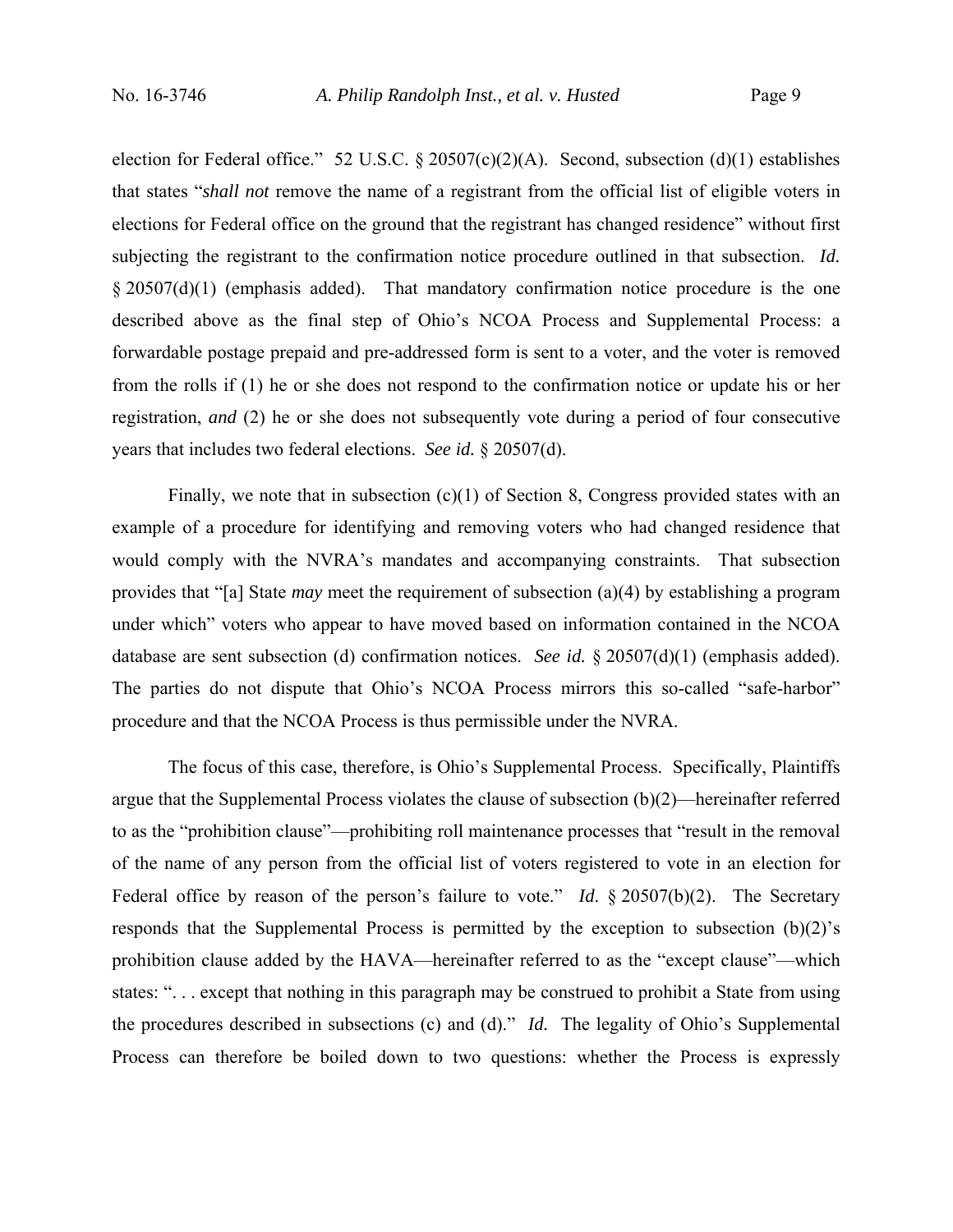election for Federal office." 52 U.S.C. § 20507(c)(2)(A). Second, subsection (d)(1) establishes that states "*shall not* remove the name of a registrant from the official list of eligible voters in elections for Federal office on the ground that the registrant has changed residence" without first subjecting the registrant to the confirmation notice procedure outlined in that subsection. *Id.* § 20507(d)(1) (emphasis added). That mandatory confirmation notice procedure is the one described above as the final step of Ohio's NCOA Process and Supplemental Process: a forwardable postage prepaid and pre-addressed form is sent to a voter, and the voter is removed from the rolls if (1) he or she does not respond to the confirmation notice or update his or her registration, *and* (2) he or she does not subsequently vote during a period of four consecutive years that includes two federal elections. *See id.* § 20507(d).

Finally, we note that in subsection  $(c)(1)$  of Section 8, Congress provided states with an example of a procedure for identifying and removing voters who had changed residence that would comply with the NVRA's mandates and accompanying constraints. That subsection provides that "[a] State *may* meet the requirement of subsection (a)(4) by establishing a program under which" voters who appear to have moved based on information contained in the NCOA database are sent subsection (d) confirmation notices. *See id.* § 20507(d)(1) (emphasis added). The parties do not dispute that Ohio's NCOA Process mirrors this so-called "safe-harbor" procedure and that the NCOA Process is thus permissible under the NVRA.

 The focus of this case, therefore, is Ohio's Supplemental Process. Specifically, Plaintiffs argue that the Supplemental Process violates the clause of subsection (b)(2)—hereinafter referred to as the "prohibition clause"—prohibiting roll maintenance processes that "result in the removal of the name of any person from the official list of voters registered to vote in an election for Federal office by reason of the person's failure to vote." *Id.* § 20507(b)(2). The Secretary responds that the Supplemental Process is permitted by the exception to subsection (b)(2)'s prohibition clause added by the HAVA—hereinafter referred to as the "except clause"—which states: ". . . except that nothing in this paragraph may be construed to prohibit a State from using the procedures described in subsections (c) and (d)." *Id.* The legality of Ohio's Supplemental Process can therefore be boiled down to two questions: whether the Process is expressly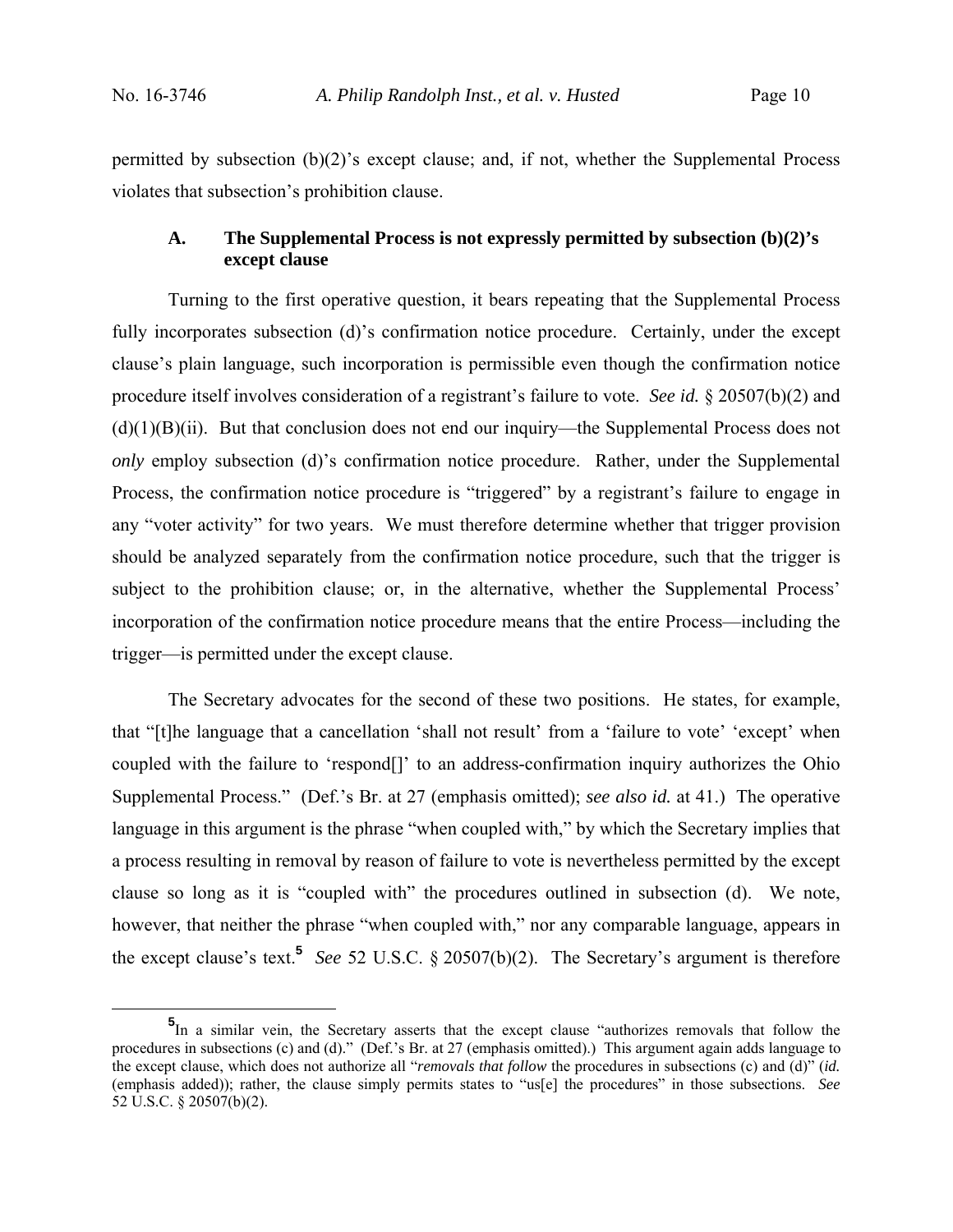permitted by subsection  $(b)(2)$ 's except clause; and, if not, whether the Supplemental Process violates that subsection's prohibition clause.

## **A. The Supplemental Process is not expressly permitted by subsection (b)(2)'s except clause**

 Turning to the first operative question, it bears repeating that the Supplemental Process fully incorporates subsection (d)'s confirmation notice procedure. Certainly, under the except clause's plain language, such incorporation is permissible even though the confirmation notice procedure itself involves consideration of a registrant's failure to vote. *See id.* § 20507(b)(2) and  $(d)(1)(B)(ii)$ . But that conclusion does not end our inquiry—the Supplemental Process does not *only* employ subsection (d)'s confirmation notice procedure. Rather, under the Supplemental Process, the confirmation notice procedure is "triggered" by a registrant's failure to engage in any "voter activity" for two years. We must therefore determine whether that trigger provision should be analyzed separately from the confirmation notice procedure, such that the trigger is subject to the prohibition clause; or, in the alternative, whether the Supplemental Process' incorporation of the confirmation notice procedure means that the entire Process—including the trigger—is permitted under the except clause.

 The Secretary advocates for the second of these two positions. He states, for example, that "[t]he language that a cancellation 'shall not result' from a 'failure to vote' 'except' when coupled with the failure to 'respond[]' to an address-confirmation inquiry authorizes the Ohio Supplemental Process." (Def.'s Br. at 27 (emphasis omitted); *see also id.* at 41.) The operative language in this argument is the phrase "when coupled with," by which the Secretary implies that a process resulting in removal by reason of failure to vote is nevertheless permitted by the except clause so long as it is "coupled with" the procedures outlined in subsection (d). We note, however, that neither the phrase "when coupled with," nor any comparable language, appears in the except clause's text.**<sup>5</sup>** *See* 52 U.S.C. § 20507(b)(2). The Secretary's argument is therefore

**<sup>5</sup>** <sup>5</sup>In a similar vein, the Secretary asserts that the except clause "authorizes removals that follow the procedures in subsections (c) and (d)." (Def.'s Br. at 27 (emphasis omitted).) This argument again adds language to the except clause, which does not authorize all "*removals that follow* the procedures in subsections (c) and (d)" (*id.* (emphasis added)); rather, the clause simply permits states to "us[e] the procedures" in those subsections. *See* 52 U.S.C. § 20507(b)(2).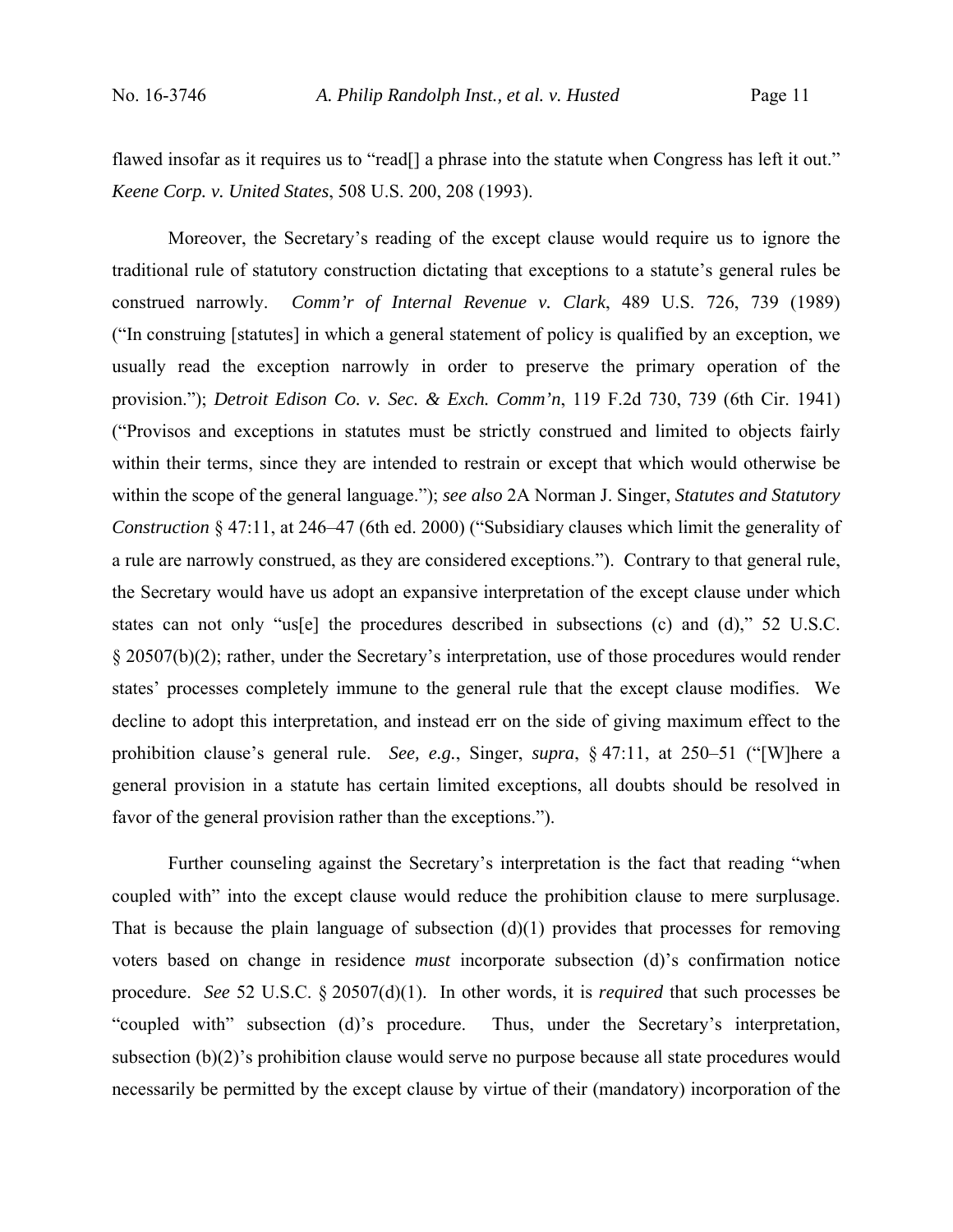flawed insofar as it requires us to "read<sup>[]</sup> a phrase into the statute when Congress has left it out." *Keene Corp. v. United States*, 508 U.S. 200, 208 (1993).

 Moreover, the Secretary's reading of the except clause would require us to ignore the traditional rule of statutory construction dictating that exceptions to a statute's general rules be construed narrowly. *Comm'r of Internal Revenue v. Clark*, 489 U.S. 726, 739 (1989) ("In construing [statutes] in which a general statement of policy is qualified by an exception, we usually read the exception narrowly in order to preserve the primary operation of the provision."); *Detroit Edison Co. v. Sec. & Exch. Comm'n*, 119 F.2d 730, 739 (6th Cir. 1941) ("Provisos and exceptions in statutes must be strictly construed and limited to objects fairly within their terms, since they are intended to restrain or except that which would otherwise be within the scope of the general language."); *see also* 2A Norman J. Singer, *Statutes and Statutory Construction* § 47:11, at 246–47 (6th ed. 2000) ("Subsidiary clauses which limit the generality of a rule are narrowly construed, as they are considered exceptions."). Contrary to that general rule, the Secretary would have us adopt an expansive interpretation of the except clause under which states can not only "us[e] the procedures described in subsections (c) and (d)," 52 U.S.C. § 20507(b)(2); rather, under the Secretary's interpretation, use of those procedures would render states' processes completely immune to the general rule that the except clause modifies. We decline to adopt this interpretation, and instead err on the side of giving maximum effect to the prohibition clause's general rule. *See, e.g.*, Singer, *supra*, § 47:11, at 250–51 ("[W]here a general provision in a statute has certain limited exceptions, all doubts should be resolved in favor of the general provision rather than the exceptions.").

 Further counseling against the Secretary's interpretation is the fact that reading "when coupled with" into the except clause would reduce the prohibition clause to mere surplusage. That is because the plain language of subsection  $(d)(1)$  provides that processes for removing voters based on change in residence *must* incorporate subsection (d)'s confirmation notice procedure. *See* 52 U.S.C. § 20507(d)(1). In other words, it is *required* that such processes be "coupled with" subsection (d)'s procedure. Thus, under the Secretary's interpretation, subsection (b)(2)'s prohibition clause would serve no purpose because all state procedures would necessarily be permitted by the except clause by virtue of their (mandatory) incorporation of the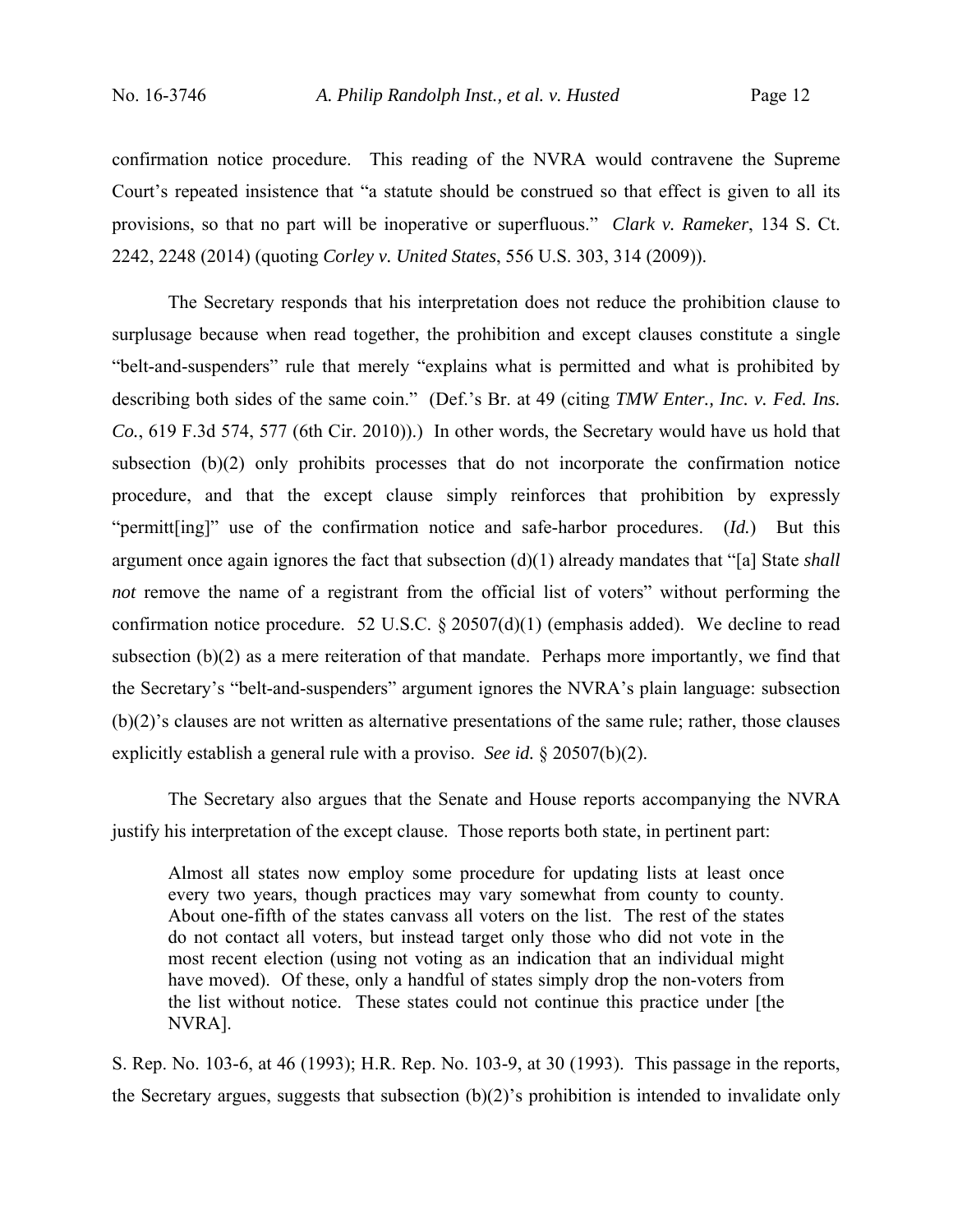confirmation notice procedure. This reading of the NVRA would contravene the Supreme Court's repeated insistence that "a statute should be construed so that effect is given to all its provisions, so that no part will be inoperative or superfluous." *Clark v. Rameker*, 134 S. Ct. 2242, 2248 (2014) (quoting *Corley v. United States*, 556 U.S. 303, 314 (2009)).

 The Secretary responds that his interpretation does not reduce the prohibition clause to surplusage because when read together, the prohibition and except clauses constitute a single "belt-and-suspenders" rule that merely "explains what is permitted and what is prohibited by describing both sides of the same coin." (Def.'s Br. at 49 (citing *TMW Enter., Inc. v. Fed. Ins. Co.*, 619 F.3d 574, 577 (6th Cir. 2010)).) In other words, the Secretary would have us hold that subsection (b)(2) only prohibits processes that do not incorporate the confirmation notice procedure, and that the except clause simply reinforces that prohibition by expressly "permitt[ing]" use of the confirmation notice and safe-harbor procedures. (*Id.*) But this argument once again ignores the fact that subsection (d)(1) already mandates that "[a] State *shall not* remove the name of a registrant from the official list of voters" without performing the confirmation notice procedure. 52 U.S.C. § 20507(d)(1) (emphasis added). We decline to read subsection  $(b)(2)$  as a mere reiteration of that mandate. Perhaps more importantly, we find that the Secretary's "belt-and-suspenders" argument ignores the NVRA's plain language: subsection (b)(2)'s clauses are not written as alternative presentations of the same rule; rather, those clauses explicitly establish a general rule with a proviso. *See id.* § 20507(b)(2).

 The Secretary also argues that the Senate and House reports accompanying the NVRA justify his interpretation of the except clause. Those reports both state, in pertinent part:

Almost all states now employ some procedure for updating lists at least once every two years, though practices may vary somewhat from county to county. About one-fifth of the states canvass all voters on the list. The rest of the states do not contact all voters, but instead target only those who did not vote in the most recent election (using not voting as an indication that an individual might have moved). Of these, only a handful of states simply drop the non-voters from the list without notice. These states could not continue this practice under [the NVRA].

S. Rep. No. 103-6, at 46 (1993); H.R. Rep. No. 103-9, at 30 (1993). This passage in the reports, the Secretary argues, suggests that subsection  $(b)(2)$ 's prohibition is intended to invalidate only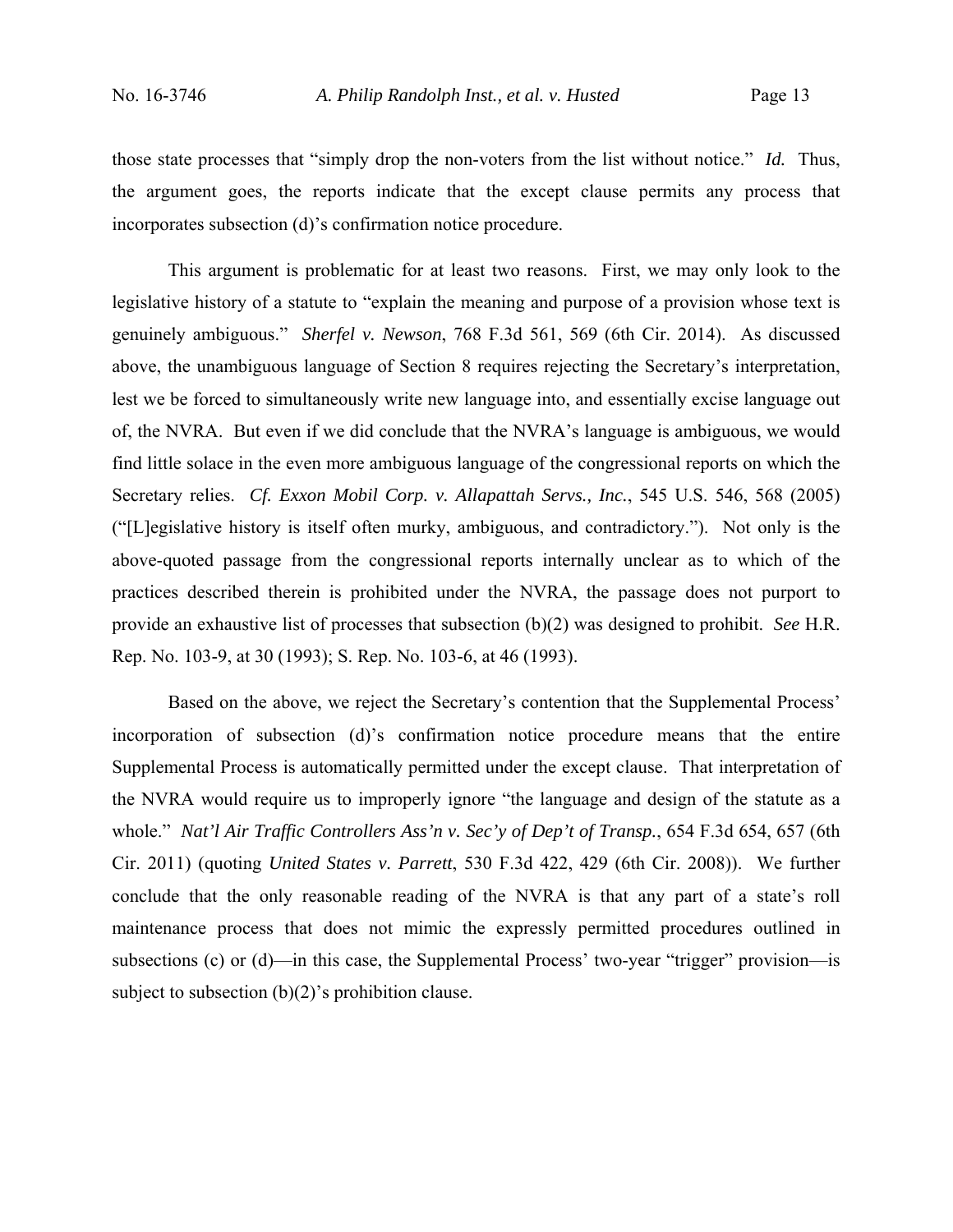those state processes that "simply drop the non-voters from the list without notice." *Id.* Thus, the argument goes, the reports indicate that the except clause permits any process that incorporates subsection (d)'s confirmation notice procedure.

 This argument is problematic for at least two reasons. First, we may only look to the legislative history of a statute to "explain the meaning and purpose of a provision whose text is genuinely ambiguous." *Sherfel v. Newson*, 768 F.3d 561, 569 (6th Cir. 2014). As discussed above, the unambiguous language of Section 8 requires rejecting the Secretary's interpretation, lest we be forced to simultaneously write new language into, and essentially excise language out of, the NVRA. But even if we did conclude that the NVRA's language is ambiguous, we would find little solace in the even more ambiguous language of the congressional reports on which the Secretary relies. *Cf. Exxon Mobil Corp. v. Allapattah Servs., Inc.*, 545 U.S. 546, 568 (2005) ("[L]egislative history is itself often murky, ambiguous, and contradictory."). Not only is the above-quoted passage from the congressional reports internally unclear as to which of the practices described therein is prohibited under the NVRA, the passage does not purport to provide an exhaustive list of processes that subsection (b)(2) was designed to prohibit. *See* H.R. Rep. No. 103-9, at 30 (1993); S. Rep. No. 103-6, at 46 (1993).

 Based on the above, we reject the Secretary's contention that the Supplemental Process' incorporation of subsection (d)'s confirmation notice procedure means that the entire Supplemental Process is automatically permitted under the except clause. That interpretation of the NVRA would require us to improperly ignore "the language and design of the statute as a whole." *Nat'l Air Traffic Controllers Ass'n v. Sec'y of Dep't of Transp.*, 654 F.3d 654, 657 (6th Cir. 2011) (quoting *United States v. Parrett*, 530 F.3d 422, 429 (6th Cir. 2008)). We further conclude that the only reasonable reading of the NVRA is that any part of a state's roll maintenance process that does not mimic the expressly permitted procedures outlined in subsections (c) or (d)—in this case, the Supplemental Process' two-year "trigger" provision—is subject to subsection (b)(2)'s prohibition clause.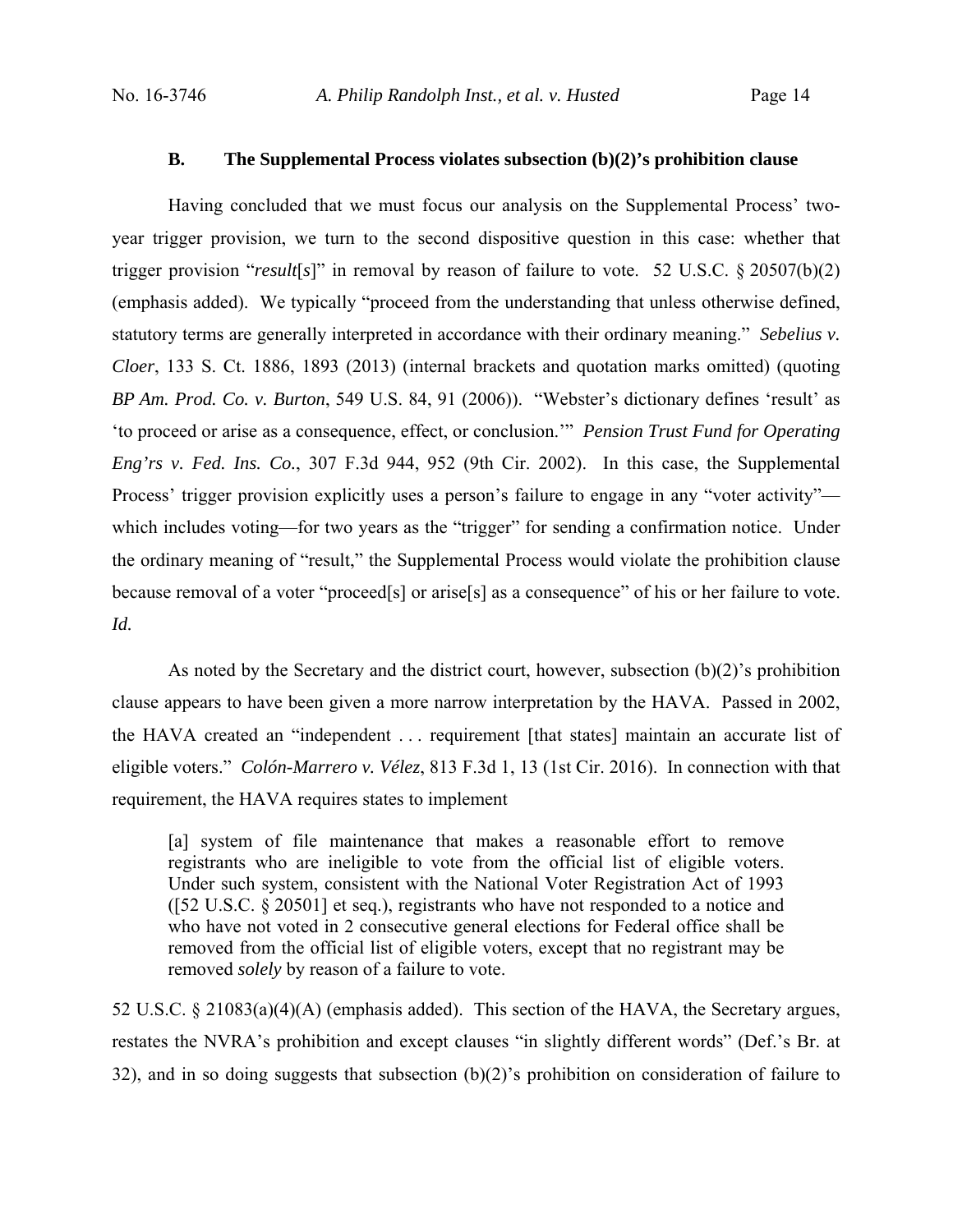### **B. The Supplemental Process violates subsection (b)(2)'s prohibition clause**

 Having concluded that we must focus our analysis on the Supplemental Process' twoyear trigger provision, we turn to the second dispositive question in this case: whether that trigger provision "*result*[*s*]" in removal by reason of failure to vote. 52 U.S.C. § 20507(b)(2) (emphasis added). We typically "proceed from the understanding that unless otherwise defined, statutory terms are generally interpreted in accordance with their ordinary meaning." *Sebelius v. Cloer*, 133 S. Ct. 1886, 1893 (2013) (internal brackets and quotation marks omitted) (quoting *BP Am. Prod. Co. v. Burton*, 549 U.S. 84, 91 (2006)). "Webster's dictionary defines 'result' as 'to proceed or arise as a consequence, effect, or conclusion.'" *Pension Trust Fund for Operating Eng'rs v. Fed. Ins. Co.*, 307 F.3d 944, 952 (9th Cir. 2002). In this case, the Supplemental Process' trigger provision explicitly uses a person's failure to engage in any "voter activity" which includes voting—for two years as the "trigger" for sending a confirmation notice. Under the ordinary meaning of "result," the Supplemental Process would violate the prohibition clause because removal of a voter "proceed[s] or arise[s] as a consequence" of his or her failure to vote. *Id.*

As noted by the Secretary and the district court, however, subsection  $(b)(2)$ 's prohibition clause appears to have been given a more narrow interpretation by the HAVA. Passed in 2002, the HAVA created an "independent . . . requirement [that states] maintain an accurate list of eligible voters." *Colón-Marrero v. Vélez*, 813 F.3d 1, 13 (1st Cir. 2016). In connection with that requirement, the HAVA requires states to implement

[a] system of file maintenance that makes a reasonable effort to remove registrants who are ineligible to vote from the official list of eligible voters. Under such system, consistent with the National Voter Registration Act of 1993 ([52 U.S.C. § 20501] et seq.), registrants who have not responded to a notice and who have not voted in 2 consecutive general elections for Federal office shall be removed from the official list of eligible voters, except that no registrant may be removed *solely* by reason of a failure to vote.

52 U.S.C. § 21083(a)(4)(A) (emphasis added). This section of the HAVA, the Secretary argues, restates the NVRA's prohibition and except clauses "in slightly different words" (Def.'s Br. at 32), and in so doing suggests that subsection  $(b)(2)$ 's prohibition on consideration of failure to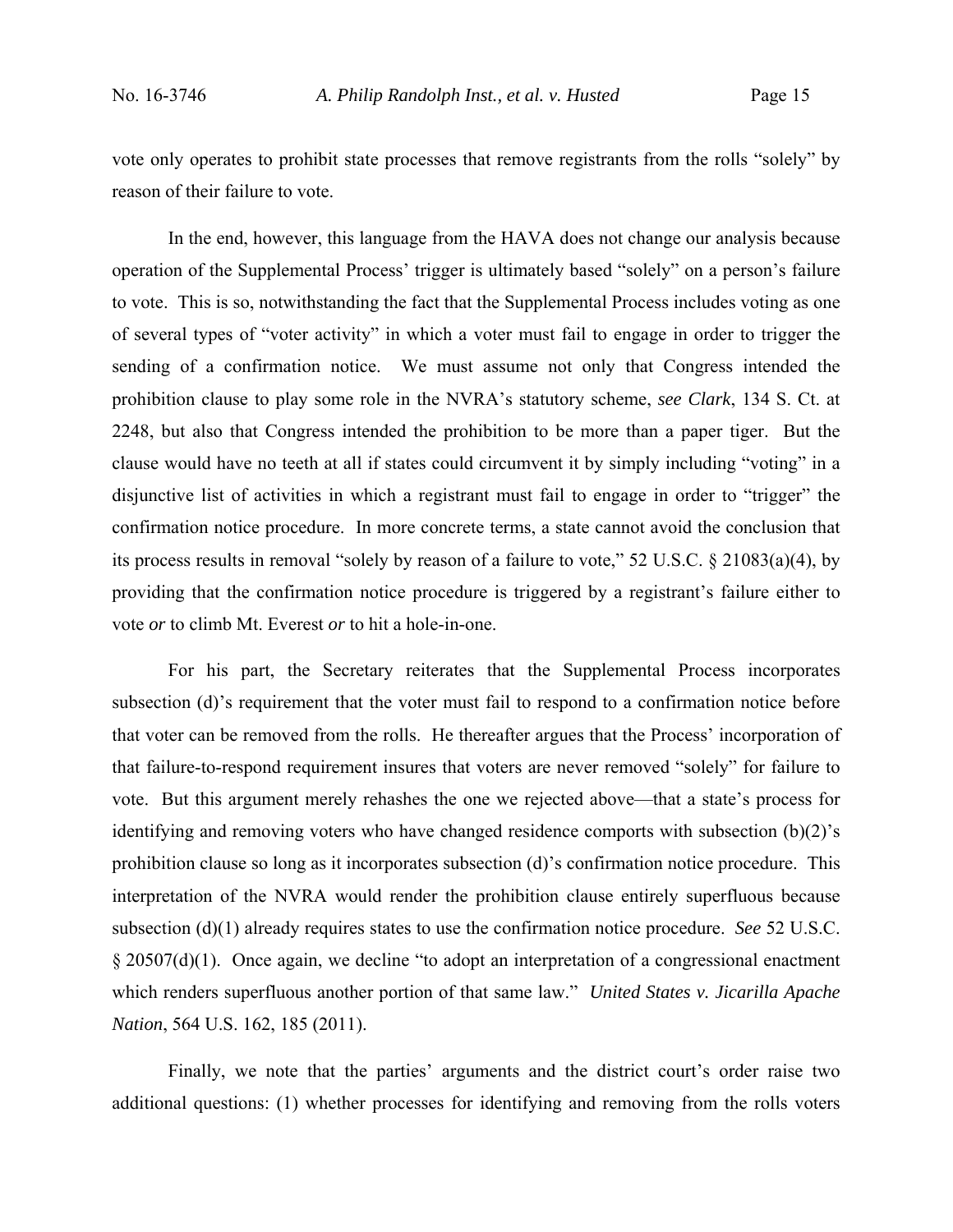vote only operates to prohibit state processes that remove registrants from the rolls "solely" by reason of their failure to vote.

 In the end, however, this language from the HAVA does not change our analysis because operation of the Supplemental Process' trigger is ultimately based "solely" on a person's failure to vote. This is so, notwithstanding the fact that the Supplemental Process includes voting as one of several types of "voter activity" in which a voter must fail to engage in order to trigger the sending of a confirmation notice. We must assume not only that Congress intended the prohibition clause to play some role in the NVRA's statutory scheme, *see Clark*, 134 S. Ct. at 2248, but also that Congress intended the prohibition to be more than a paper tiger. But the clause would have no teeth at all if states could circumvent it by simply including "voting" in a disjunctive list of activities in which a registrant must fail to engage in order to "trigger" the confirmation notice procedure. In more concrete terms, a state cannot avoid the conclusion that its process results in removal "solely by reason of a failure to vote," 52 U.S.C. § 21083(a)(4), by providing that the confirmation notice procedure is triggered by a registrant's failure either to vote *or* to climb Mt. Everest *or* to hit a hole-in-one.

 For his part, the Secretary reiterates that the Supplemental Process incorporates subsection (d)'s requirement that the voter must fail to respond to a confirmation notice before that voter can be removed from the rolls. He thereafter argues that the Process' incorporation of that failure-to-respond requirement insures that voters are never removed "solely" for failure to vote. But this argument merely rehashes the one we rejected above—that a state's process for identifying and removing voters who have changed residence comports with subsection (b)(2)'s prohibition clause so long as it incorporates subsection (d)'s confirmation notice procedure. This interpretation of the NVRA would render the prohibition clause entirely superfluous because subsection (d)(1) already requires states to use the confirmation notice procedure. *See* 52 U.S.C. § 20507(d)(1). Once again, we decline "to adopt an interpretation of a congressional enactment which renders superfluous another portion of that same law." *United States v. Jicarilla Apache Nation*, 564 U.S. 162, 185 (2011).

 Finally, we note that the parties' arguments and the district court's order raise two additional questions: (1) whether processes for identifying and removing from the rolls voters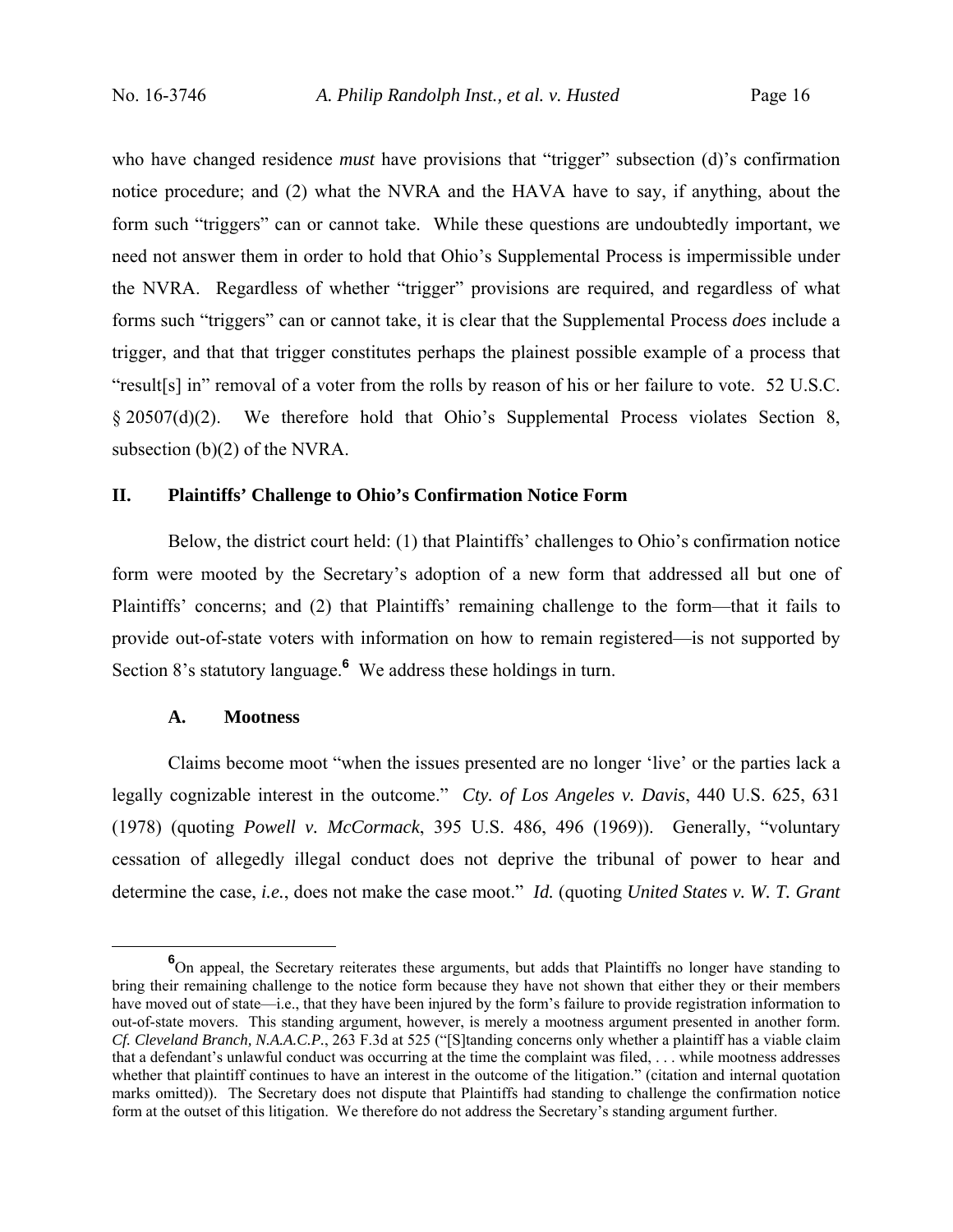who have changed residence *must* have provisions that "trigger" subsection (d)'s confirmation notice procedure; and (2) what the NVRA and the HAVA have to say, if anything, about the form such "triggers" can or cannot take. While these questions are undoubtedly important, we need not answer them in order to hold that Ohio's Supplemental Process is impermissible under the NVRA. Regardless of whether "trigger" provisions are required, and regardless of what forms such "triggers" can or cannot take, it is clear that the Supplemental Process *does* include a trigger, and that that trigger constitutes perhaps the plainest possible example of a process that "result[s] in" removal of a voter from the rolls by reason of his or her failure to vote. 52 U.S.C. § 20507(d)(2). We therefore hold that Ohio's Supplemental Process violates Section 8, subsection (b)(2) of the NVRA.

#### **II. Plaintiffs' Challenge to Ohio's Confirmation Notice Form**

 Below, the district court held: (1) that Plaintiffs' challenges to Ohio's confirmation notice form were mooted by the Secretary's adoption of a new form that addressed all but one of Plaintiffs' concerns; and (2) that Plaintiffs' remaining challenge to the form—that it fails to provide out-of-state voters with information on how to remain registered—is not supported by Section 8's statutory language.**<sup>6</sup>** We address these holdings in turn.

#### **A. Mootness**

 Claims become moot "when the issues presented are no longer 'live' or the parties lack a legally cognizable interest in the outcome." *Cty. of Los Angeles v. Davis*, 440 U.S. 625, 631 (1978) (quoting *Powell v. McCormack*, 395 U.S. 486, 496 (1969)). Generally, "voluntary cessation of allegedly illegal conduct does not deprive the tribunal of power to hear and determine the case, *i.e.*, does not make the case moot." *Id.* (quoting *United States v. W. T. Grant* 

**<sup>6</sup>** On appeal, the Secretary reiterates these arguments, but adds that Plaintiffs no longer have standing to bring their remaining challenge to the notice form because they have not shown that either they or their members have moved out of state—i.e., that they have been injured by the form's failure to provide registration information to out-of-state movers. This standing argument, however, is merely a mootness argument presented in another form. *Cf. Cleveland Branch, N.A.A.C.P.*, 263 F.3d at 525 ("[S]tanding concerns only whether a plaintiff has a viable claim that a defendant's unlawful conduct was occurring at the time the complaint was filed, . . . while mootness addresses whether that plaintiff continues to have an interest in the outcome of the litigation." (citation and internal quotation marks omitted)). The Secretary does not dispute that Plaintiffs had standing to challenge the confirmation notice form at the outset of this litigation. We therefore do not address the Secretary's standing argument further.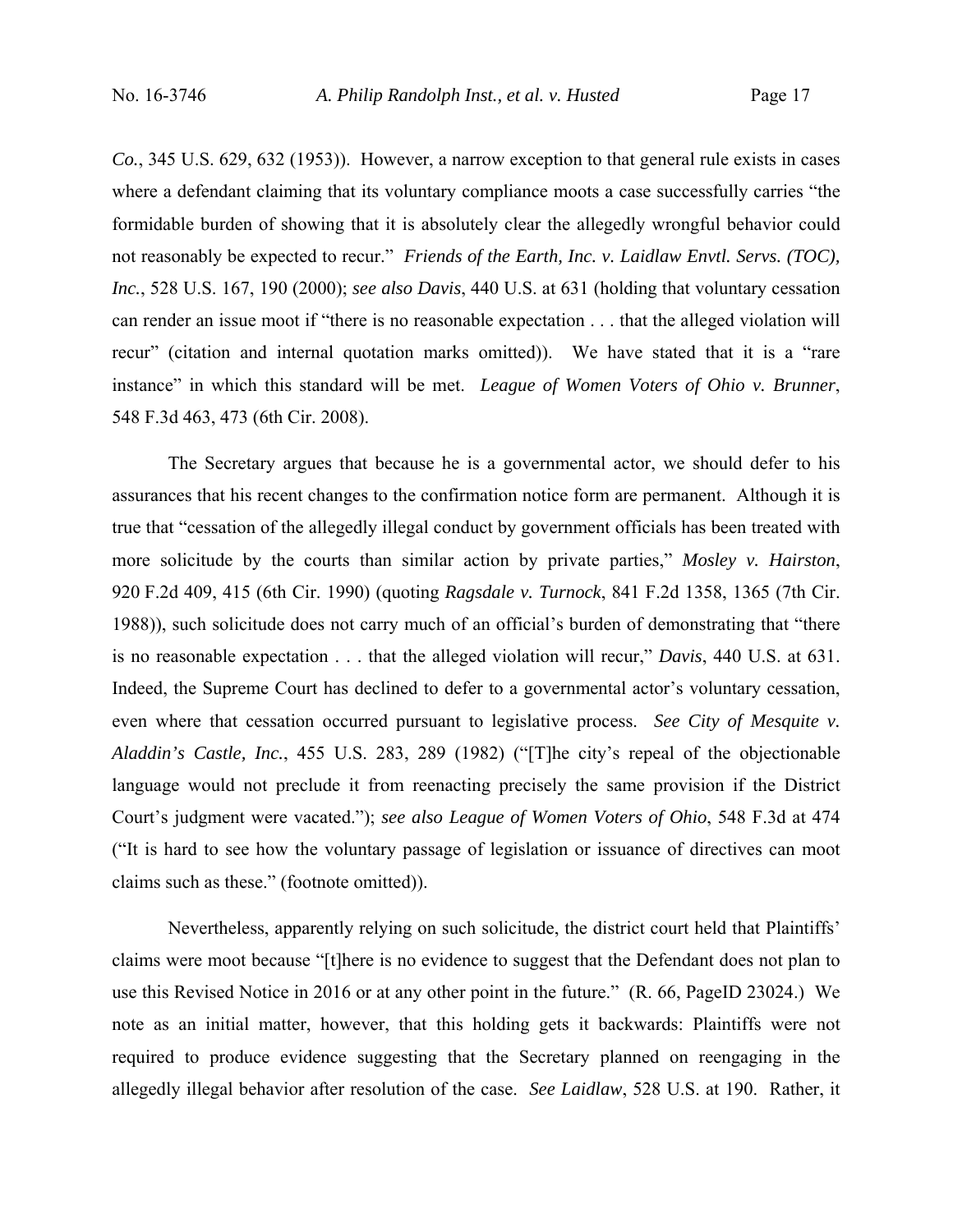*Co.*, 345 U.S. 629, 632 (1953)). However, a narrow exception to that general rule exists in cases where a defendant claiming that its voluntary compliance moots a case successfully carries "the formidable burden of showing that it is absolutely clear the allegedly wrongful behavior could not reasonably be expected to recur." *Friends of the Earth, Inc. v. Laidlaw Envtl. Servs. (TOC), Inc.*, 528 U.S. 167, 190 (2000); *see also Davis*, 440 U.S. at 631 (holding that voluntary cessation can render an issue moot if "there is no reasonable expectation . . . that the alleged violation will recur" (citation and internal quotation marks omitted)). We have stated that it is a "rare instance" in which this standard will be met. *League of Women Voters of Ohio v. Brunner*, 548 F.3d 463, 473 (6th Cir. 2008).

 The Secretary argues that because he is a governmental actor, we should defer to his assurances that his recent changes to the confirmation notice form are permanent. Although it is true that "cessation of the allegedly illegal conduct by government officials has been treated with more solicitude by the courts than similar action by private parties," *Mosley v. Hairston*, 920 F.2d 409, 415 (6th Cir. 1990) (quoting *Ragsdale v. Turnock*, 841 F.2d 1358, 1365 (7th Cir. 1988)), such solicitude does not carry much of an official's burden of demonstrating that "there is no reasonable expectation . . . that the alleged violation will recur," *Davis*, 440 U.S. at 631. Indeed, the Supreme Court has declined to defer to a governmental actor's voluntary cessation, even where that cessation occurred pursuant to legislative process. *See City of Mesquite v. Aladdin's Castle, Inc.*, 455 U.S. 283, 289 (1982) ("[T]he city's repeal of the objectionable language would not preclude it from reenacting precisely the same provision if the District Court's judgment were vacated."); *see also League of Women Voters of Ohio*, 548 F.3d at 474 ("It is hard to see how the voluntary passage of legislation or issuance of directives can moot claims such as these." (footnote omitted)).

 Nevertheless, apparently relying on such solicitude, the district court held that Plaintiffs' claims were moot because "[t]here is no evidence to suggest that the Defendant does not plan to use this Revised Notice in 2016 or at any other point in the future." (R. 66, PageID 23024.) We note as an initial matter, however, that this holding gets it backwards: Plaintiffs were not required to produce evidence suggesting that the Secretary planned on reengaging in the allegedly illegal behavior after resolution of the case. *See Laidlaw*, 528 U.S. at 190. Rather, it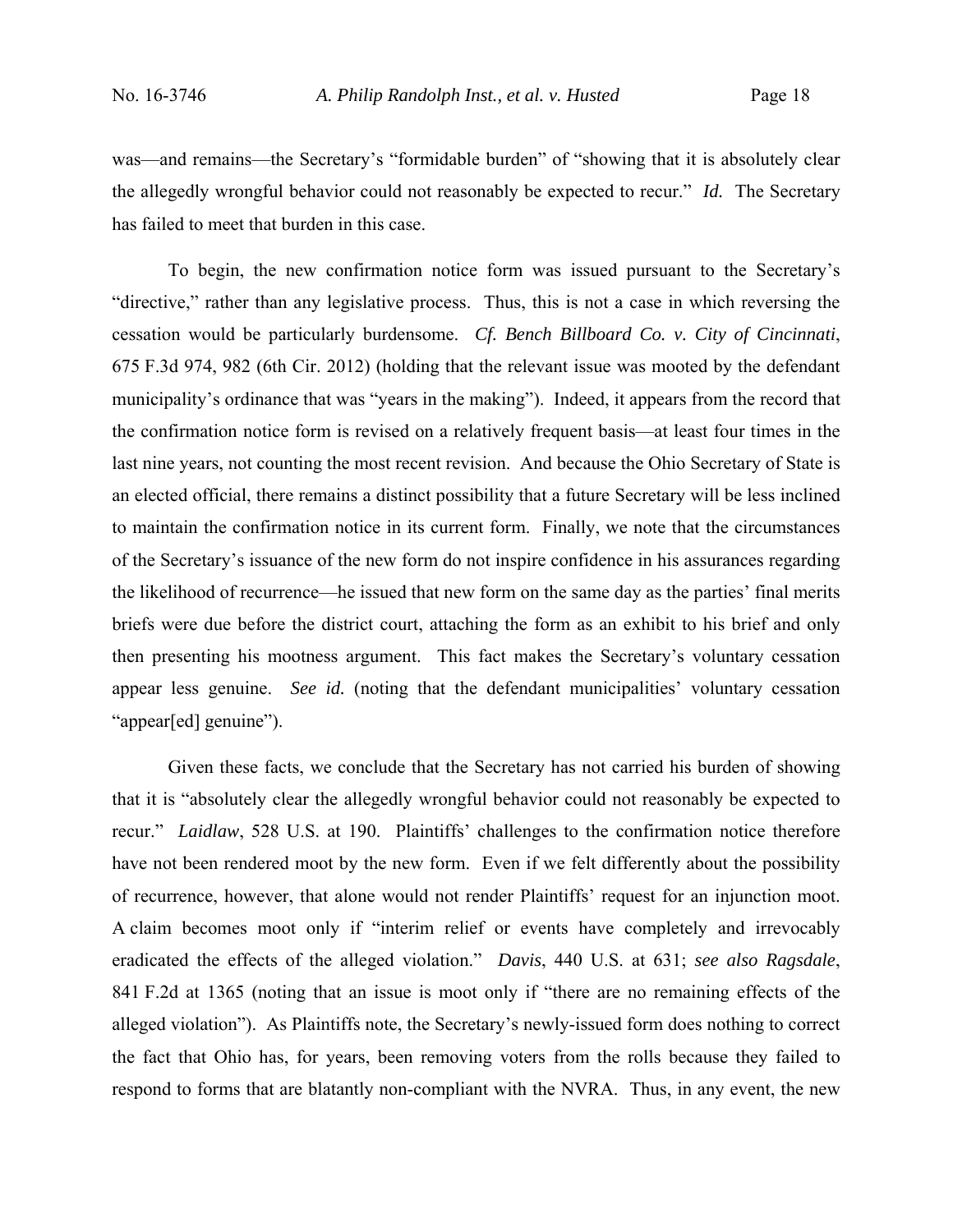was—and remains—the Secretary's "formidable burden" of "showing that it is absolutely clear the allegedly wrongful behavior could not reasonably be expected to recur." *Id.* The Secretary has failed to meet that burden in this case.

 To begin, the new confirmation notice form was issued pursuant to the Secretary's "directive," rather than any legislative process. Thus, this is not a case in which reversing the cessation would be particularly burdensome. *Cf. Bench Billboard Co. v. City of Cincinnati*, 675 F.3d 974, 982 (6th Cir. 2012) (holding that the relevant issue was mooted by the defendant municipality's ordinance that was "years in the making"). Indeed, it appears from the record that the confirmation notice form is revised on a relatively frequent basis—at least four times in the last nine years, not counting the most recent revision. And because the Ohio Secretary of State is an elected official, there remains a distinct possibility that a future Secretary will be less inclined to maintain the confirmation notice in its current form. Finally, we note that the circumstances of the Secretary's issuance of the new form do not inspire confidence in his assurances regarding the likelihood of recurrence—he issued that new form on the same day as the parties' final merits briefs were due before the district court, attaching the form as an exhibit to his brief and only then presenting his mootness argument. This fact makes the Secretary's voluntary cessation appear less genuine. *See id.* (noting that the defendant municipalities' voluntary cessation "appear[ed] genuine").

 Given these facts, we conclude that the Secretary has not carried his burden of showing that it is "absolutely clear the allegedly wrongful behavior could not reasonably be expected to recur." *Laidlaw*, 528 U.S. at 190. Plaintiffs' challenges to the confirmation notice therefore have not been rendered moot by the new form. Even if we felt differently about the possibility of recurrence, however, that alone would not render Plaintiffs' request for an injunction moot. A claim becomes moot only if "interim relief or events have completely and irrevocably eradicated the effects of the alleged violation." *Davis*, 440 U.S. at 631; *see also Ragsdale*, 841 F.2d at 1365 (noting that an issue is moot only if "there are no remaining effects of the alleged violation"). As Plaintiffs note, the Secretary's newly-issued form does nothing to correct the fact that Ohio has, for years, been removing voters from the rolls because they failed to respond to forms that are blatantly non-compliant with the NVRA. Thus, in any event, the new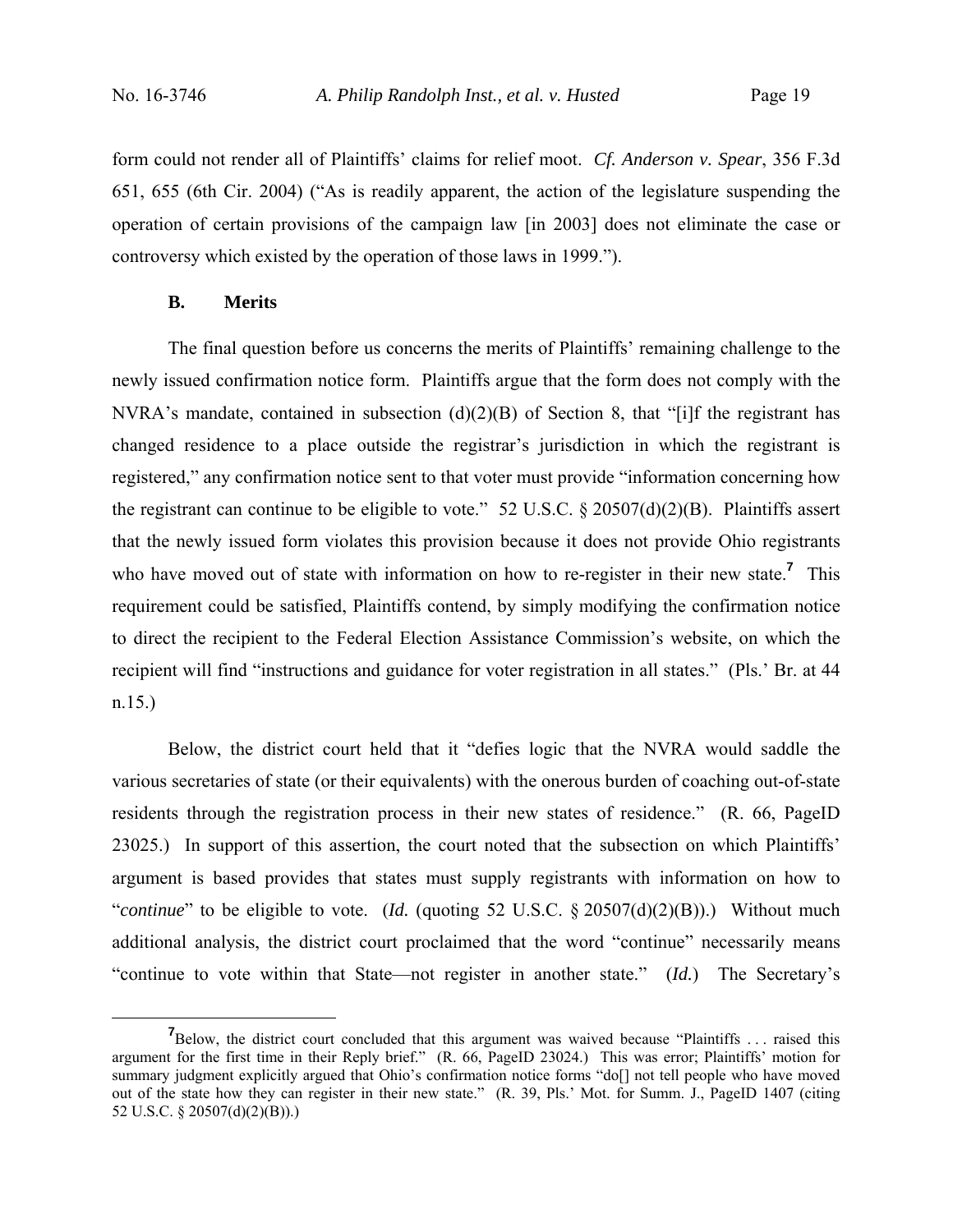form could not render all of Plaintiffs' claims for relief moot. *Cf. Anderson v. Spear*, 356 F.3d 651, 655 (6th Cir. 2004) ("As is readily apparent, the action of the legislature suspending the operation of certain provisions of the campaign law [in 2003] does not eliminate the case or controversy which existed by the operation of those laws in 1999.").

## **B. Merits**

 The final question before us concerns the merits of Plaintiffs' remaining challenge to the newly issued confirmation notice form. Plaintiffs argue that the form does not comply with the NVRA's mandate, contained in subsection  $(d)(2)(B)$  of Section 8, that "[i]f the registrant has changed residence to a place outside the registrar's jurisdiction in which the registrant is registered," any confirmation notice sent to that voter must provide "information concerning how the registrant can continue to be eligible to vote." 52 U.S.C.  $\S 20507(d)(2)(B)$ . Plaintiffs assert that the newly issued form violates this provision because it does not provide Ohio registrants who have moved out of state with information on how to re-register in their new state.**<sup>7</sup>** This requirement could be satisfied, Plaintiffs contend, by simply modifying the confirmation notice to direct the recipient to the Federal Election Assistance Commission's website, on which the recipient will find "instructions and guidance for voter registration in all states." (Pls.' Br. at 44 n.15.)

 Below, the district court held that it "defies logic that the NVRA would saddle the various secretaries of state (or their equivalents) with the onerous burden of coaching out-of-state residents through the registration process in their new states of residence." (R. 66, PageID 23025.) In support of this assertion, the court noted that the subsection on which Plaintiffs' argument is based provides that states must supply registrants with information on how to "*continue*" to be eligible to vote. (*Id.* (quoting 52 U.S.C. § 20507(d)(2)(B)).) Without much additional analysis, the district court proclaimed that the word "continue" necessarily means "continue to vote within that State—not register in another state." (*Id.*) The Secretary's

**<sup>7</sup> 7** Below, the district court concluded that this argument was waived because "Plaintiffs ... raised this argument for the first time in their Reply brief." (R. 66, PageID 23024.) This was error; Plaintiffs' motion for summary judgment explicitly argued that Ohio's confirmation notice forms "do[] not tell people who have moved out of the state how they can register in their new state." (R. 39, Pls.' Mot. for Summ. J., PageID 1407 (citing 52 U.S.C. § 20507(d)(2)(B)).)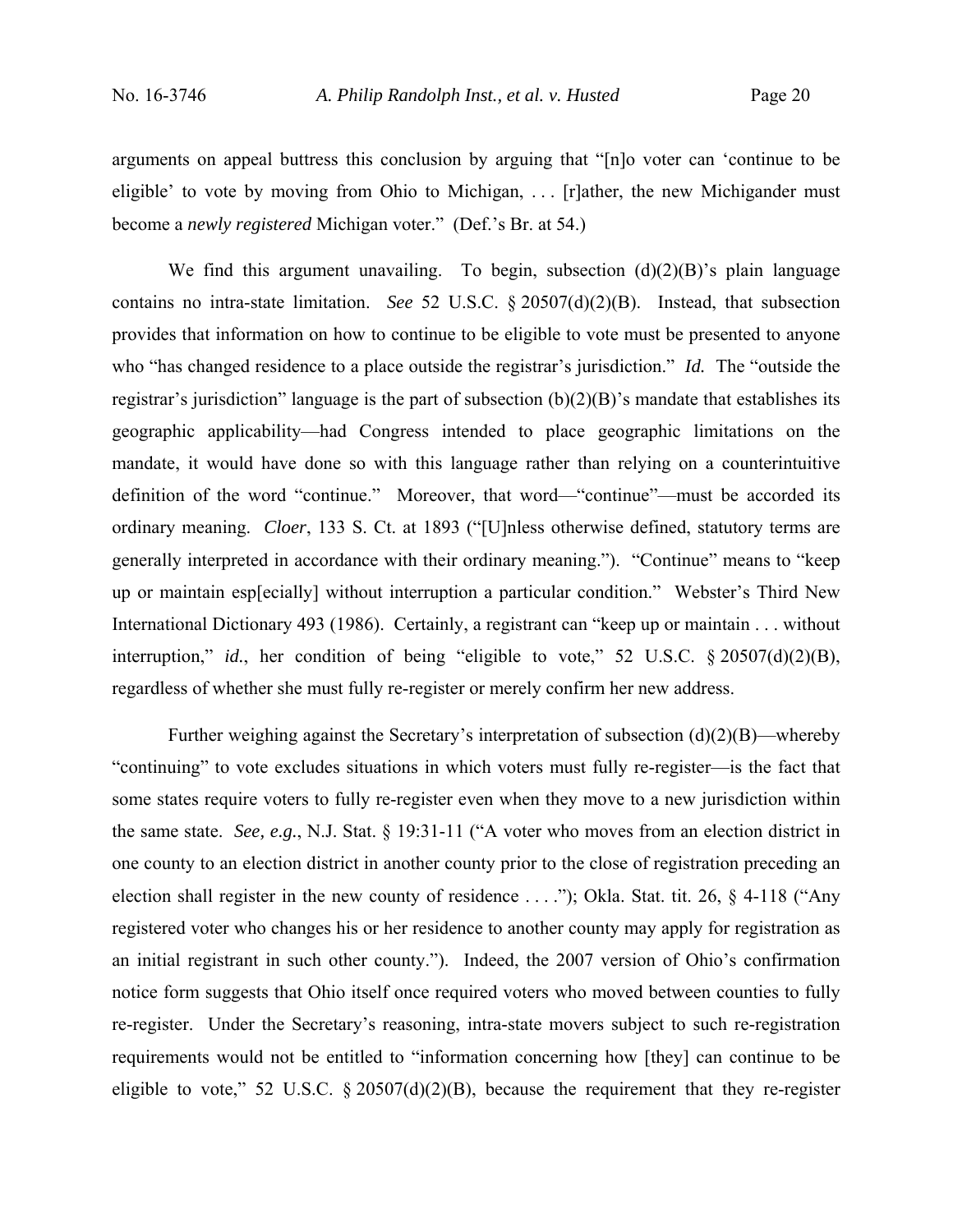arguments on appeal buttress this conclusion by arguing that "[n]o voter can 'continue to be eligible' to vote by moving from Ohio to Michigan, . . . [r]ather, the new Michigander must become a *newly registered* Michigan voter." (Def.'s Br. at 54.)

We find this argument unavailing. To begin, subsection  $(d)(2)(B)$ 's plain language contains no intra-state limitation. *See* 52 U.S.C. § 20507(d)(2)(B). Instead, that subsection provides that information on how to continue to be eligible to vote must be presented to anyone who "has changed residence to a place outside the registrar's jurisdiction." *Id.* The "outside the registrar's jurisdiction" language is the part of subsection  $(b)(2)(B)$ 's mandate that establishes its geographic applicability—had Congress intended to place geographic limitations on the mandate, it would have done so with this language rather than relying on a counterintuitive definition of the word "continue." Moreover, that word—"continue"—must be accorded its ordinary meaning. *Cloer*, 133 S. Ct. at 1893 ("[U]nless otherwise defined, statutory terms are generally interpreted in accordance with their ordinary meaning."). "Continue" means to "keep up or maintain esp[ecially] without interruption a particular condition." Webster's Third New International Dictionary 493 (1986). Certainly, a registrant can "keep up or maintain . . . without interruption," *id.*, her condition of being "eligible to vote," 52 U.S.C. § 20507(d)(2)(B), regardless of whether she must fully re-register or merely confirm her new address.

Further weighing against the Secretary's interpretation of subsection  $(d)(2)(B)$ —whereby "continuing" to vote excludes situations in which voters must fully re-register—is the fact that some states require voters to fully re-register even when they move to a new jurisdiction within the same state. *See, e.g.*, N.J. Stat. § 19:31-11 ("A voter who moves from an election district in one county to an election district in another county prior to the close of registration preceding an election shall register in the new county of residence . . . ."); Okla. Stat. tit. 26, § 4-118 ("Any registered voter who changes his or her residence to another county may apply for registration as an initial registrant in such other county."). Indeed, the 2007 version of Ohio's confirmation notice form suggests that Ohio itself once required voters who moved between counties to fully re-register. Under the Secretary's reasoning, intra-state movers subject to such re-registration requirements would not be entitled to "information concerning how [they] can continue to be eligible to vote," 52 U.S.C.  $\S 20507(d)(2)(B)$ , because the requirement that they re-register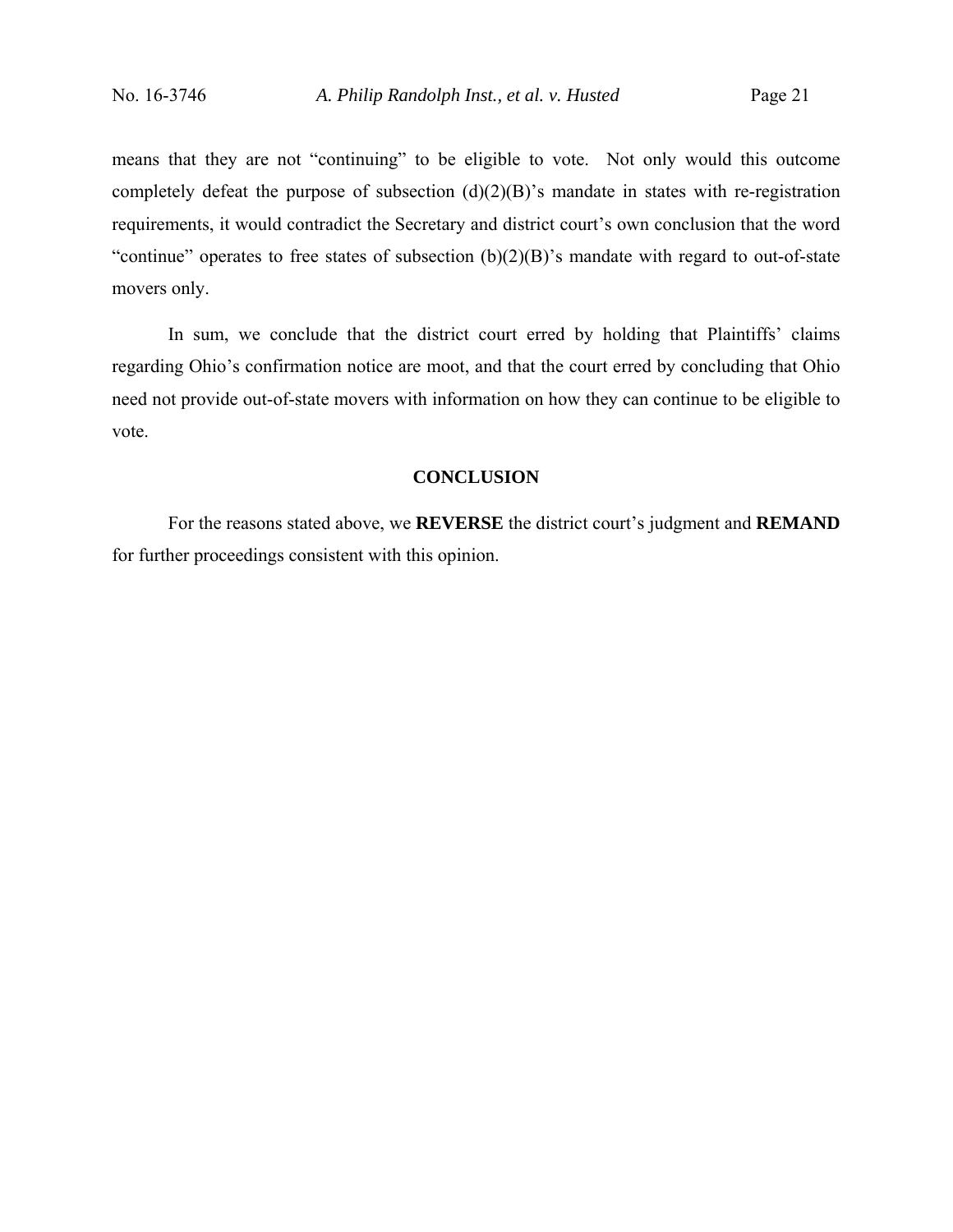means that they are not "continuing" to be eligible to vote. Not only would this outcome completely defeat the purpose of subsection  $(d)(2)(B)$ 's mandate in states with re-registration requirements, it would contradict the Secretary and district court's own conclusion that the word "continue" operates to free states of subsection  $(b)(2)(B)$ " smandate with regard to out-of-state movers only.

 In sum, we conclude that the district court erred by holding that Plaintiffs' claims regarding Ohio's confirmation notice are moot, and that the court erred by concluding that Ohio need not provide out-of-state movers with information on how they can continue to be eligible to vote.

#### **CONCLUSION**

For the reasons stated above, we **REVERSE** the district court's judgment and **REMAND** for further proceedings consistent with this opinion.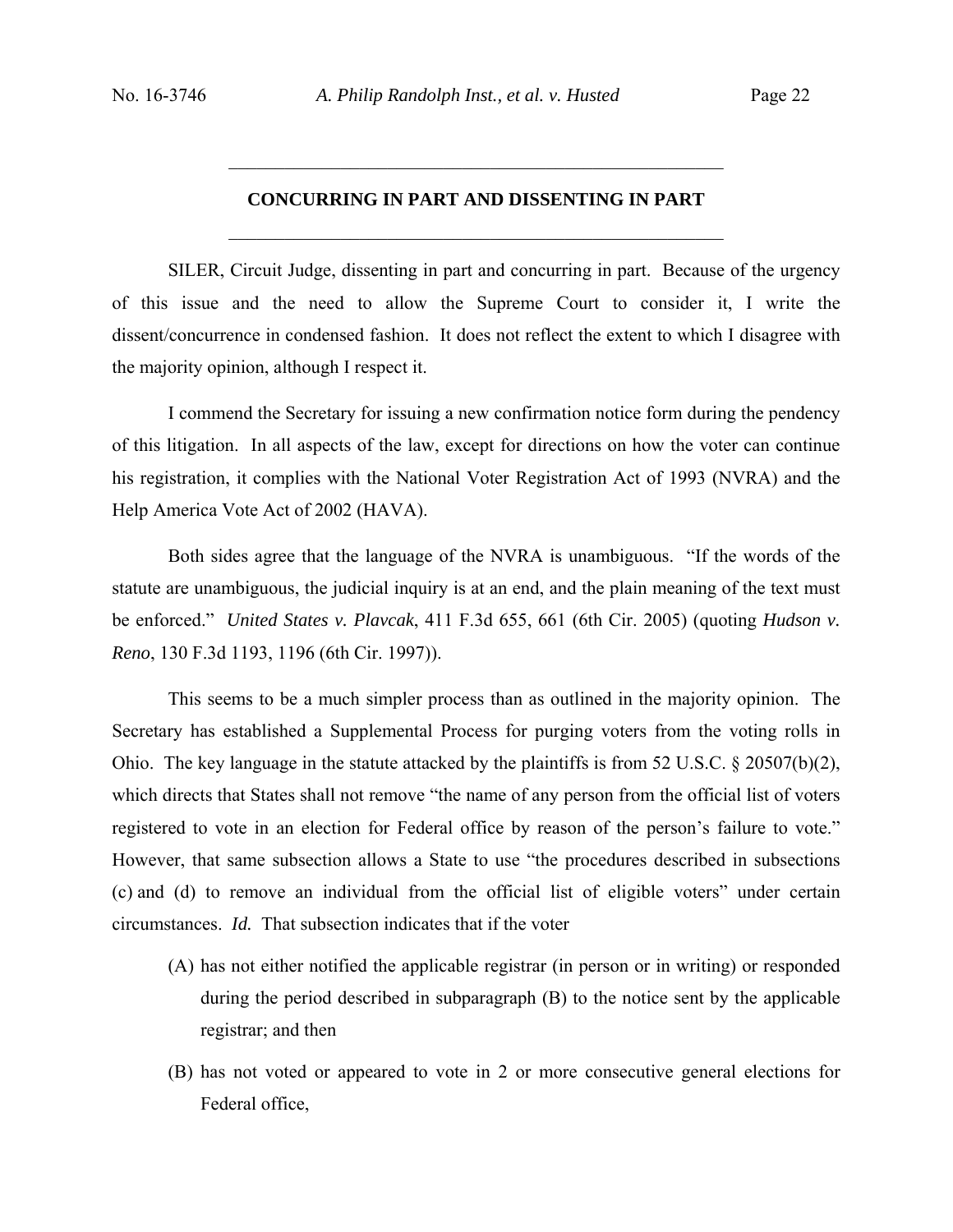## **CONCURRING IN PART AND DISSENTING IN PART**

 $\mathcal{L}_\mathcal{L}$  , and the contribution of the contribution of the contribution of the contribution of the contribution of the contribution of the contribution of the contribution of the contribution of the contribution of

 $\mathcal{L}_\text{max}$  , and the contract of the contract of the contract of the contract of the contract of the contract of the contract of the contract of the contract of the contract of the contract of the contract of the contr

 SILER, Circuit Judge, dissenting in part and concurring in part. Because of the urgency of this issue and the need to allow the Supreme Court to consider it, I write the dissent/concurrence in condensed fashion. It does not reflect the extent to which I disagree with the majority opinion, although I respect it.

 I commend the Secretary for issuing a new confirmation notice form during the pendency of this litigation. In all aspects of the law, except for directions on how the voter can continue his registration, it complies with the National Voter Registration Act of 1993 (NVRA) and the Help America Vote Act of 2002 (HAVA).

Both sides agree that the language of the NVRA is unambiguous. "If the words of the statute are unambiguous, the judicial inquiry is at an end, and the plain meaning of the text must be enforced." *United States v. Plavcak*, 411 F.3d 655, 661 (6th Cir. 2005) (quoting *Hudson v. Reno*, 130 F.3d 1193, 1196 (6th Cir. 1997)).

This seems to be a much simpler process than as outlined in the majority opinion. The Secretary has established a Supplemental Process for purging voters from the voting rolls in Ohio. The key language in the statute attacked by the plaintiffs is from 52 U.S.C.  $\&$  20507(b)(2), which directs that States shall not remove "the name of any person from the official list of voters registered to vote in an election for Federal office by reason of the person's failure to vote." However, that same subsection allows a State to use "the procedures described in subsections (c) and (d) to remove an individual from the official list of eligible voters" under certain circumstances. *Id.* That subsection indicates that if the voter

- (A) has not either notified the applicable registrar (in person or in writing) or responded during the period described in subparagraph (B) to the notice sent by the applicable registrar; and then
- (B) has not voted or appeared to vote in 2 or more consecutive general elections for Federal office,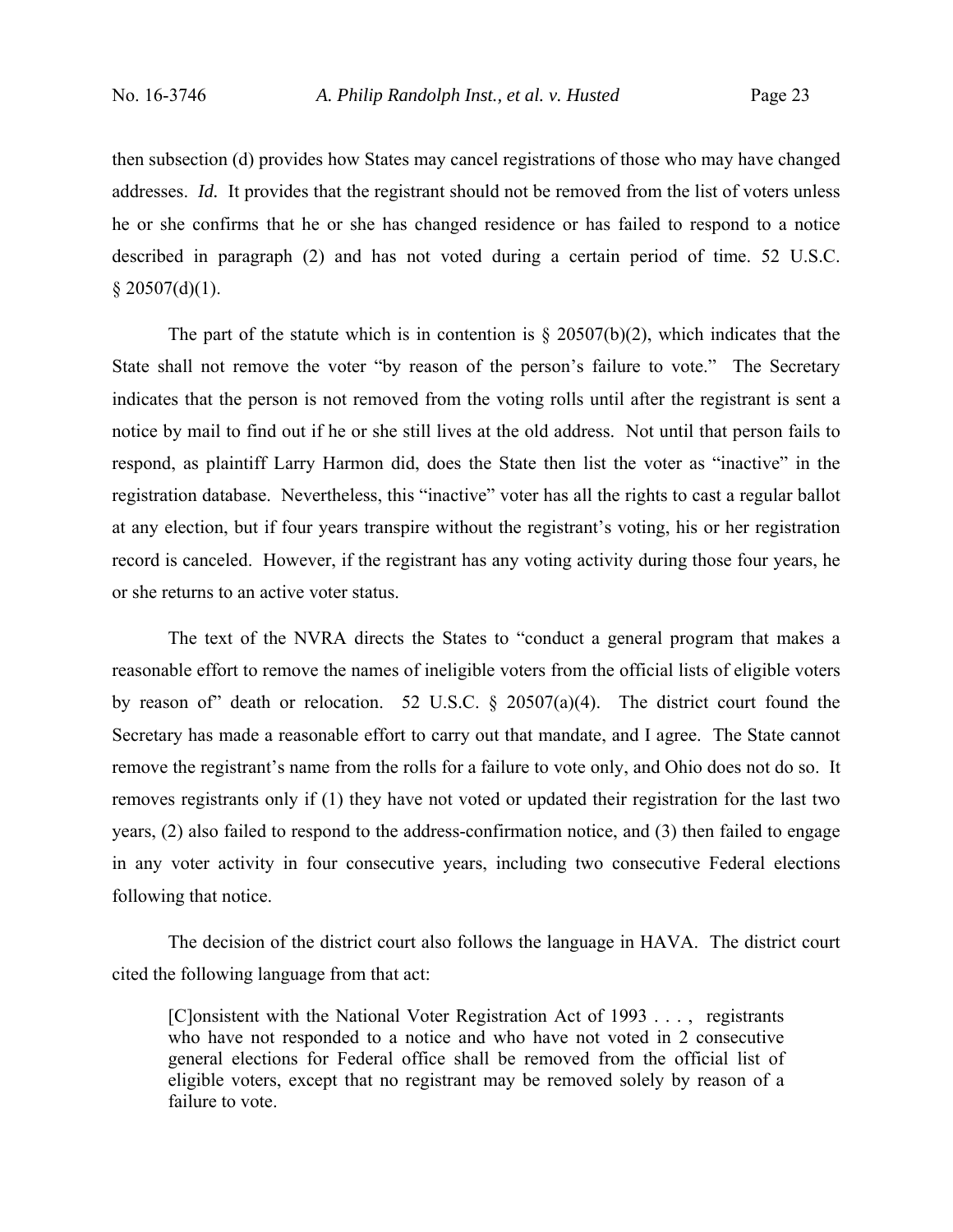then subsection (d) provides how States may cancel registrations of those who may have changed addresses. *Id.* It provides that the registrant should not be removed from the list of voters unless he or she confirms that he or she has changed residence or has failed to respond to a notice described in paragraph (2) and has not voted during a certain period of time. 52 U.S.C.  $§$  20507(d)(1).

The part of the statute which is in contention is  $\S 20507(b)(2)$ , which indicates that the State shall not remove the voter "by reason of the person's failure to vote." The Secretary indicates that the person is not removed from the voting rolls until after the registrant is sent a notice by mail to find out if he or she still lives at the old address. Not until that person fails to respond, as plaintiff Larry Harmon did, does the State then list the voter as "inactive" in the registration database. Nevertheless, this "inactive" voter has all the rights to cast a regular ballot at any election, but if four years transpire without the registrant's voting, his or her registration record is canceled. However, if the registrant has any voting activity during those four years, he or she returns to an active voter status.

 The text of the NVRA directs the States to "conduct a general program that makes a reasonable effort to remove the names of ineligible voters from the official lists of eligible voters by reason of" death or relocation. 52 U.S.C. § 20507(a)(4). The district court found the Secretary has made a reasonable effort to carry out that mandate, and I agree. The State cannot remove the registrant's name from the rolls for a failure to vote only, and Ohio does not do so. It removes registrants only if (1) they have not voted or updated their registration for the last two years, (2) also failed to respond to the address-confirmation notice, and (3) then failed to engage in any voter activity in four consecutive years, including two consecutive Federal elections following that notice.

 The decision of the district court also follows the language in HAVA. The district court cited the following language from that act:

[C]onsistent with the National Voter Registration Act of 1993 . . . , registrants who have not responded to a notice and who have not voted in 2 consecutive general elections for Federal office shall be removed from the official list of eligible voters, except that no registrant may be removed solely by reason of a failure to vote.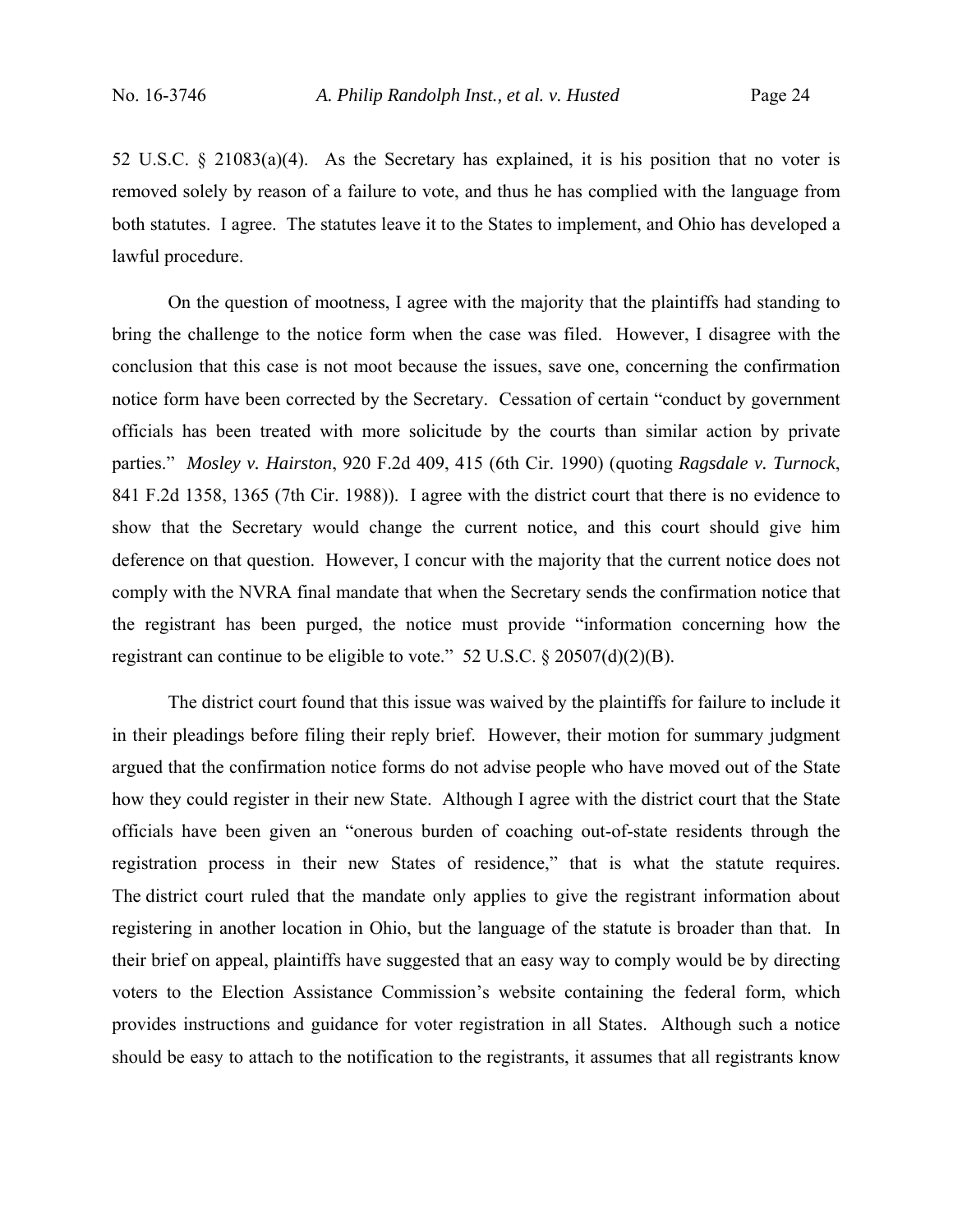52 U.S.C. § 21083(a)(4). As the Secretary has explained, it is his position that no voter is removed solely by reason of a failure to vote, and thus he has complied with the language from both statutes. I agree. The statutes leave it to the States to implement, and Ohio has developed a lawful procedure.

 On the question of mootness, I agree with the majority that the plaintiffs had standing to bring the challenge to the notice form when the case was filed. However, I disagree with the conclusion that this case is not moot because the issues, save one, concerning the confirmation notice form have been corrected by the Secretary. Cessation of certain "conduct by government officials has been treated with more solicitude by the courts than similar action by private parties." *Mosley v. Hairston*, 920 F.2d 409, 415 (6th Cir. 1990) (quoting *Ragsdale v. Turnock*, 841 F.2d 1358, 1365 (7th Cir. 1988)). I agree with the district court that there is no evidence to show that the Secretary would change the current notice, and this court should give him deference on that question. However, I concur with the majority that the current notice does not comply with the NVRA final mandate that when the Secretary sends the confirmation notice that the registrant has been purged, the notice must provide "information concerning how the registrant can continue to be eligible to vote."  $52 \text{ U.S.C.}$  §  $20507(d)(2)(B)$ .

The district court found that this issue was waived by the plaintiffs for failure to include it in their pleadings before filing their reply brief. However, their motion for summary judgment argued that the confirmation notice forms do not advise people who have moved out of the State how they could register in their new State. Although I agree with the district court that the State officials have been given an "onerous burden of coaching out-of-state residents through the registration process in their new States of residence," that is what the statute requires. The district court ruled that the mandate only applies to give the registrant information about registering in another location in Ohio, but the language of the statute is broader than that. In their brief on appeal, plaintiffs have suggested that an easy way to comply would be by directing voters to the Election Assistance Commission's website containing the federal form, which provides instructions and guidance for voter registration in all States. Although such a notice should be easy to attach to the notification to the registrants, it assumes that all registrants know